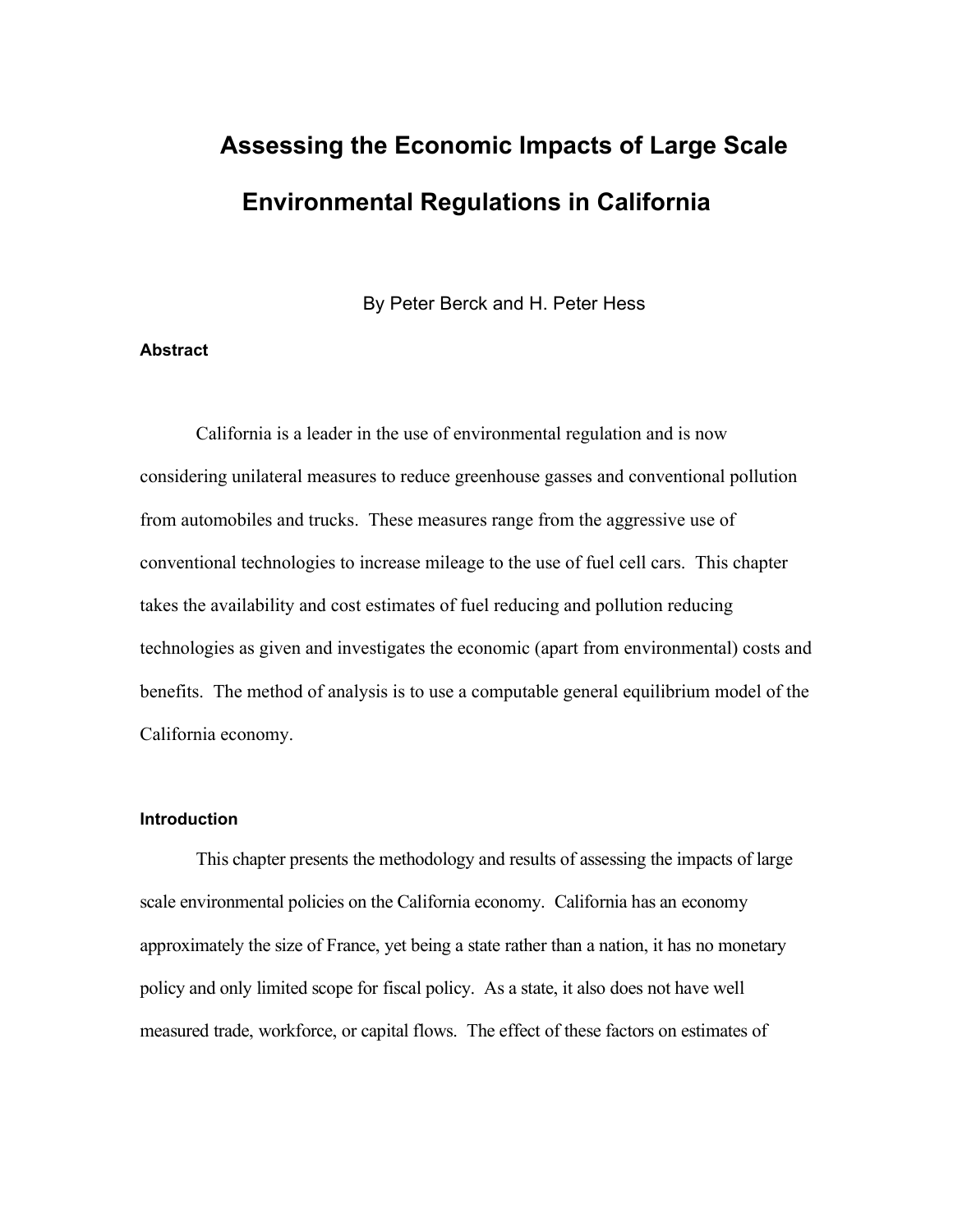# **Assessing the Economic Impacts of Large Scale Environmental Regulations in California**

By Peter Berck and H. Peter Hess

#### **Abstract**

California is a leader in the use of environmental regulation and is now considering unilateral measures to reduce greenhouse gasses and conventional pollution from automobiles and trucks. These measures range from the aggressive use of conventional technologies to increase mileage to the use of fuel cell cars. This chapter takes the availability and cost estimates of fuel reducing and pollution reducing technologies as given and investigates the economic (apart from environmental) costs and benefits. The method of analysis is to use a computable general equilibrium model of the California economy.

#### **Introduction**

This chapter presents the methodology and results of assessing the impacts of large scale environmental policies on the California economy. California has an economy approximately the size of France, yet being a state rather than a nation, it has no monetary policy and only limited scope for fiscal policy. As a state, it also does not have well measured trade, workforce, or capital flows. The effect of these factors on estimates of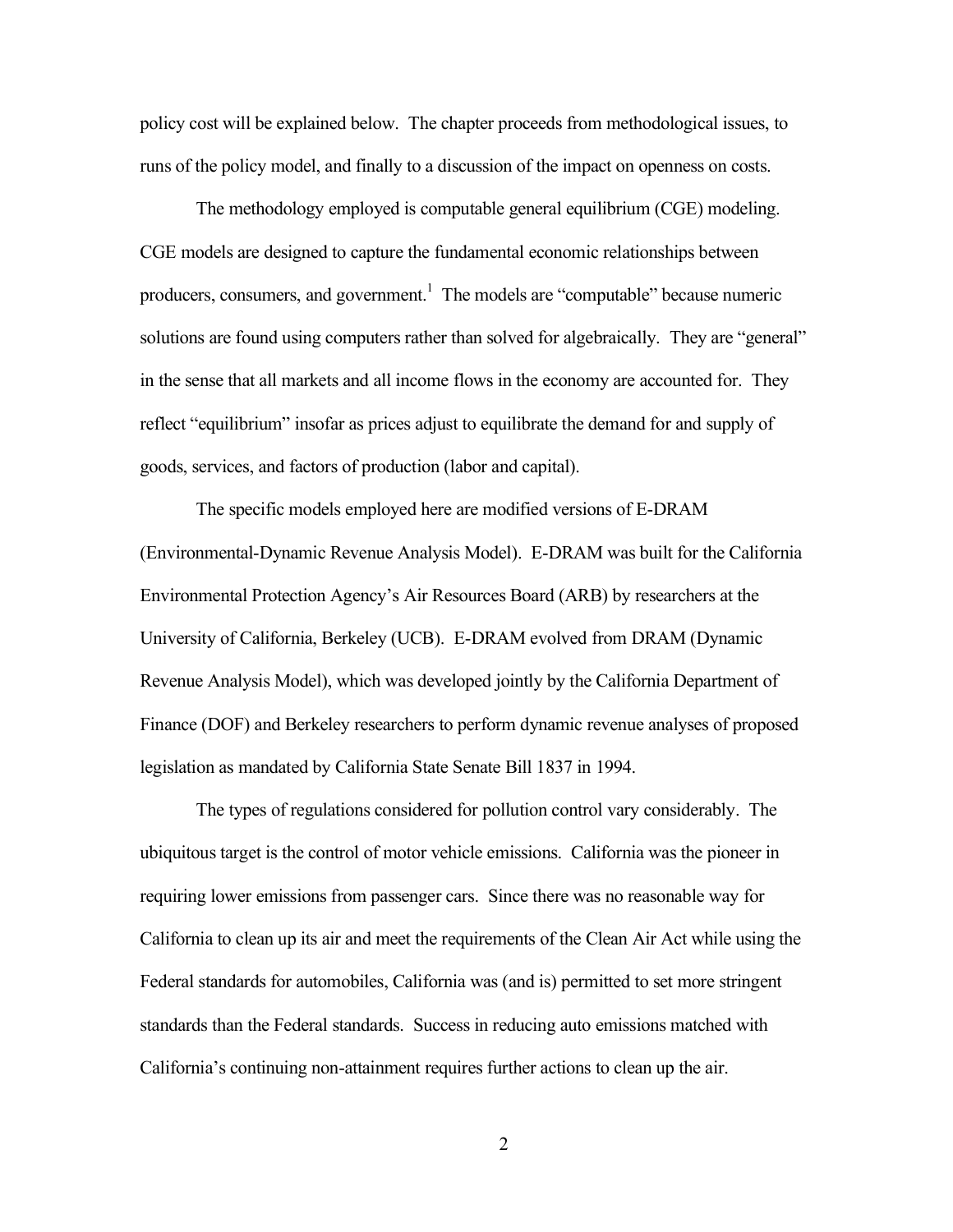policy cost will be explained below. The chapter proceeds from methodological issues, to runs of the policy model, and finally to a discussion of the impact on openness on costs.

The methodology employed is computable general equilibrium (CGE) modeling. CGE models are designed to capture the fundamental economic relationships between producers, consumers, and government.<sup>1</sup> The models are "computable" because numeric solutions are found using computers rather than solved for algebraically. They are "general" in the sense that all markets and all income flows in the economy are accounted for. They reflect "equilibrium" insofar as prices adjust to equilibrate the demand for and supply of goods, services, and factors of production (labor and capital).

The specific models employed here are modified versions of E-DRAM (Environmental-Dynamic Revenue Analysis Model). E-DRAM was built for the California Environmental Protection Agency's Air Resources Board (ARB) by researchers at the University of California, Berkeley (UCB). E-DRAM evolved from DRAM (Dynamic Revenue Analysis Model), which was developed jointly by the California Department of Finance (DOF) and Berkeley researchers to perform dynamic revenue analyses of proposed legislation as mandated by California State Senate Bill 1837 in 1994.

The types of regulations considered for pollution control vary considerably. The ubiquitous target is the control of motor vehicle emissions. California was the pioneer in requiring lower emissions from passenger cars. Since there was no reasonable way for California to clean up its air and meet the requirements of the Clean Air Act while using the Federal standards for automobiles, California was (and is) permitted to set more stringent standards than the Federal standards. Success in reducing auto emissions matched with California's continuing non-attainment requires further actions to clean up the air.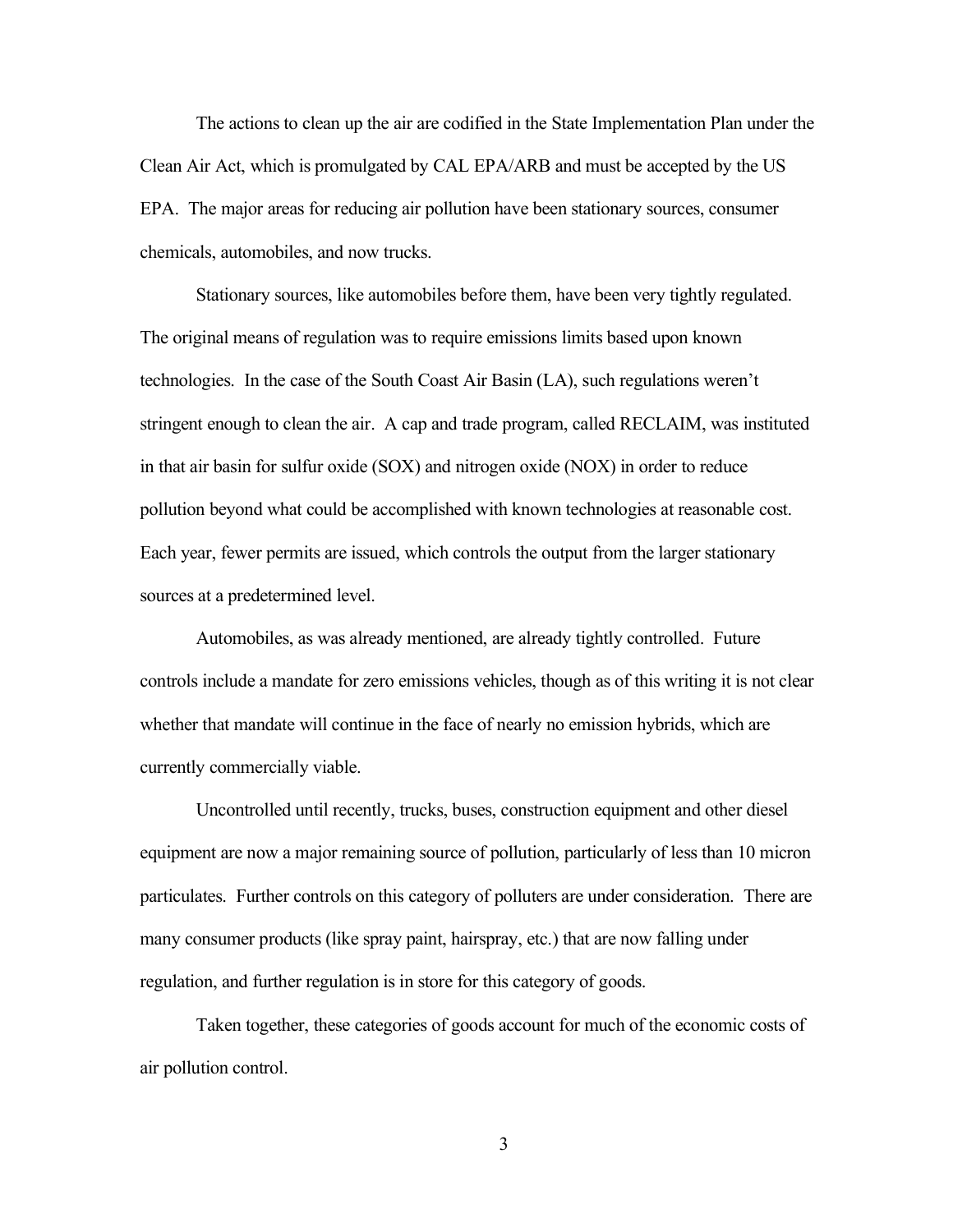The actions to clean up the air are codified in the State Implementation Plan under the Clean Air Act, which is promulgated by CAL EPA/ARB and must be accepted by the US EPA. The major areas for reducing air pollution have been stationary sources, consumer chemicals, automobiles, and now trucks.

Stationary sources, like automobiles before them, have been very tightly regulated. The original means of regulation was to require emissions limits based upon known technologies. In the case of the South Coast Air Basin (LA), such regulations weren't stringent enough to clean the air. A cap and trade program, called RECLAIM, was instituted in that air basin for sulfur oxide (SOX) and nitrogen oxide (NOX) in order to reduce pollution beyond what could be accomplished with known technologies at reasonable cost. Each year, fewer permits are issued, which controls the output from the larger stationary sources at a predetermined level.

Automobiles, as was already mentioned, are already tightly controlled. Future controls include a mandate for zero emissions vehicles, though as of this writing it is not clear whether that mandate will continue in the face of nearly no emission hybrids, which are currently commercially viable.

Uncontrolled until recently, trucks, buses, construction equipment and other diesel equipment are now a major remaining source of pollution, particularly of less than 10 micron particulates. Further controls on this category of polluters are under consideration. There are many consumer products (like spray paint, hairspray, etc.) that are now falling under regulation, and further regulation is in store for this category of goods.

Taken together, these categories of goods account for much of the economic costs of air pollution control.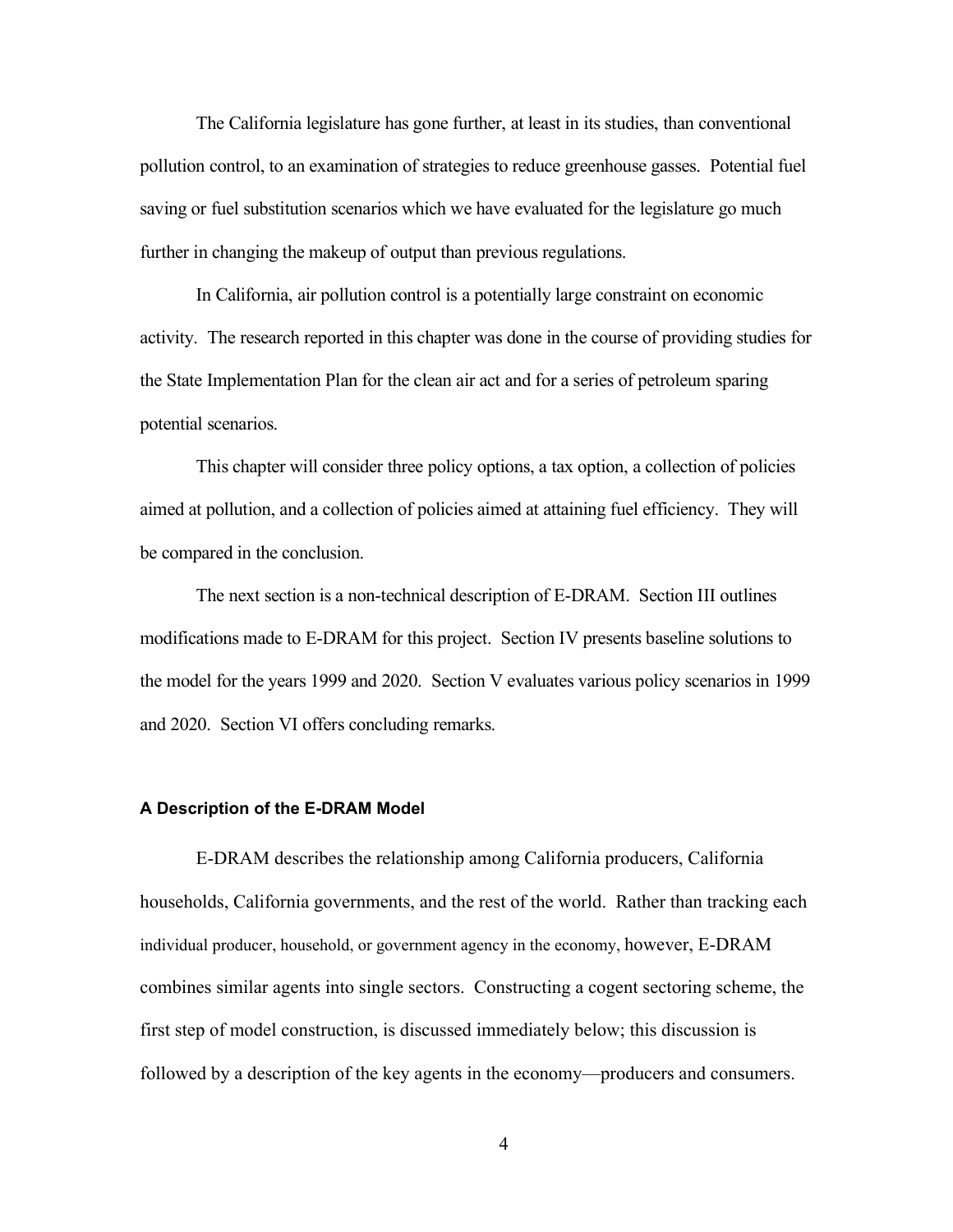The California legislature has gone further, at least in its studies, than conventional pollution control, to an examination of strategies to reduce greenhouse gasses. Potential fuel saving or fuel substitution scenarios which we have evaluated for the legislature go much further in changing the makeup of output than previous regulations.

In California, air pollution control is a potentially large constraint on economic activity. The research reported in this chapter was done in the course of providing studies for the State Implementation Plan for the clean air act and for a series of petroleum sparing potential scenarios.

This chapter will consider three policy options, a tax option, a collection of policies aimed at pollution, and a collection of policies aimed at attaining fuel efficiency. They will be compared in the conclusion.

The next section is a non-technical description of E-DRAM. Section III outlines modifications made to E-DRAM for this project. Section IV presents baseline solutions to the model for the years 1999 and 2020. Section V evaluates various policy scenarios in 1999 and 2020. Section VI offers concluding remarks.

#### **A Description of the E-DRAM Model**

E-DRAM describes the relationship among California producers, California households, California governments, and the rest of the world. Rather than tracking each individual producer, household, or government agency in the economy, however, E-DRAM combines similar agents into single sectors. Constructing a cogent sectoring scheme, the first step of model construction, is discussed immediately below; this discussion is followed by a description of the key agents in the economy—producers and consumers.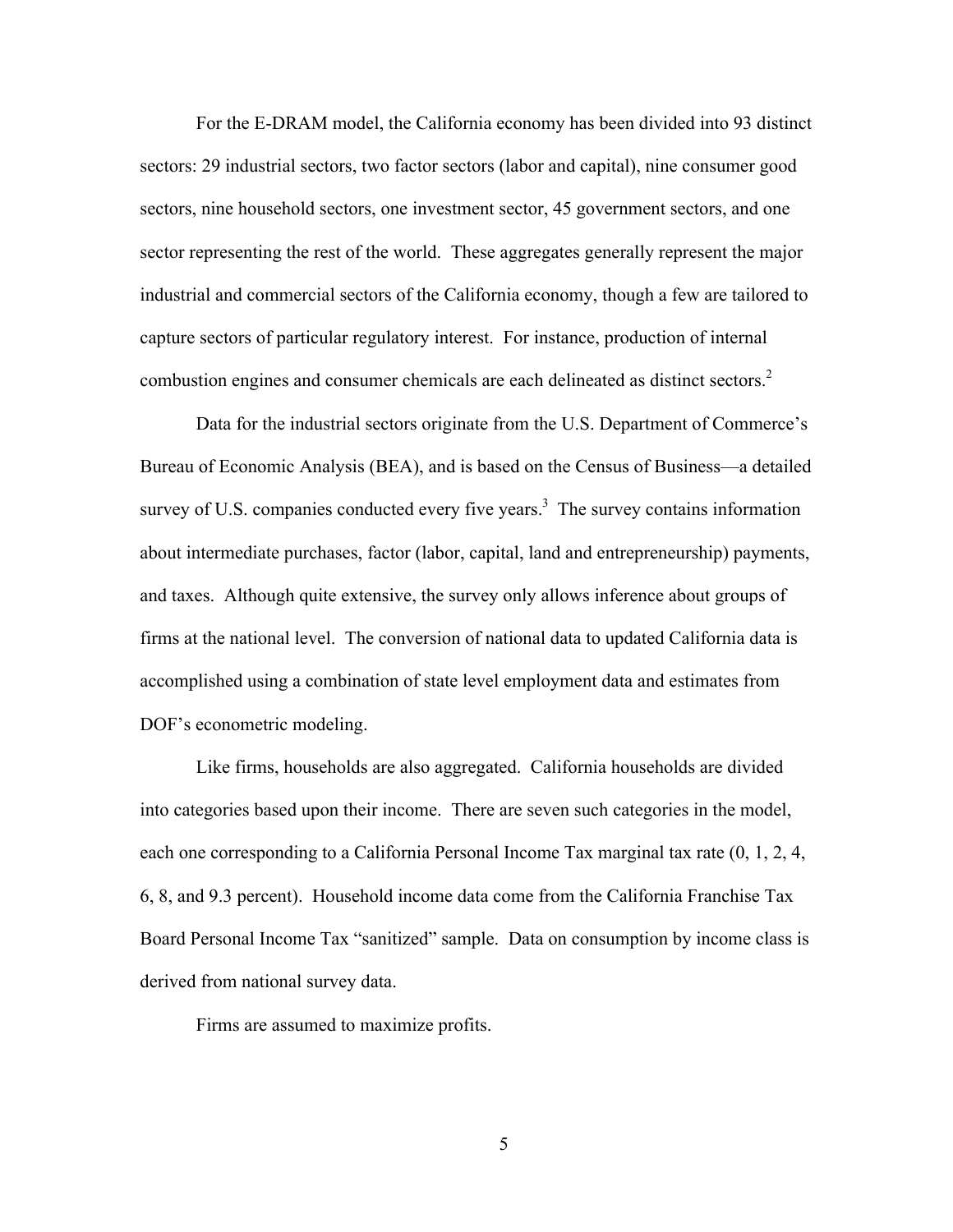For the E-DRAM model, the California economy has been divided into 93 distinct sectors: 29 industrial sectors, two factor sectors (labor and capital), nine consumer good sectors, nine household sectors, one investment sector, 45 government sectors, and one sector representing the rest of the world. These aggregates generally represent the major industrial and commercial sectors of the California economy, though a few are tailored to capture sectors of particular regulatory interest. For instance, production of internal combustion engines and consumer chemicals are each delineated as distinct sectors.2

Data for the industrial sectors originate from the U.S. Department of Commerce's Bureau of Economic Analysis (BEA), and is based on the Census of Business—a detailed survey of U.S. companies conducted every five years.<sup>3</sup> The survey contains information about intermediate purchases, factor (labor, capital, land and entrepreneurship) payments, and taxes. Although quite extensive, the survey only allows inference about groups of firms at the national level. The conversion of national data to updated California data is accomplished using a combination of state level employment data and estimates from DOF's econometric modeling.

Like firms, households are also aggregated. California households are divided into categories based upon their income. There are seven such categories in the model, each one corresponding to a California Personal Income Tax marginal tax rate (0, 1, 2, 4, 6, 8, and 9.3 percent). Household income data come from the California Franchise Tax Board Personal Income Tax "sanitized" sample. Data on consumption by income class is derived from national survey data.

Firms are assumed to maximize profits.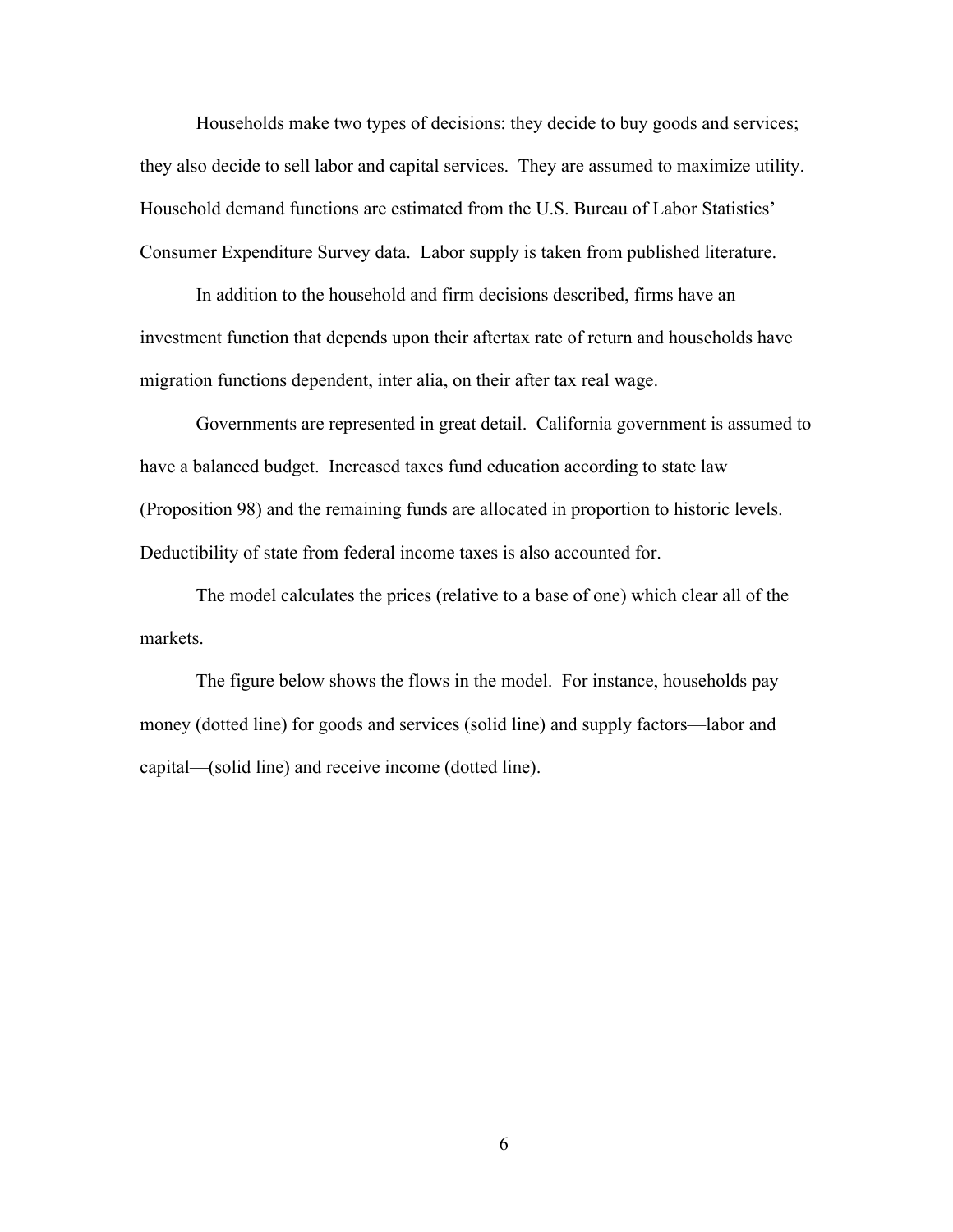Households make two types of decisions: they decide to buy goods and services; they also decide to sell labor and capital services. They are assumed to maximize utility. Household demand functions are estimated from the U.S. Bureau of Labor Statistics' Consumer Expenditure Survey data. Labor supply is taken from published literature.

In addition to the household and firm decisions described, firms have an investment function that depends upon their aftertax rate of return and households have migration functions dependent, inter alia, on their after tax real wage.

Governments are represented in great detail. California government is assumed to have a balanced budget. Increased taxes fund education according to state law (Proposition 98) and the remaining funds are allocated in proportion to historic levels. Deductibility of state from federal income taxes is also accounted for.

The model calculates the prices (relative to a base of one) which clear all of the markets.

The figure below shows the flows in the model. For instance, households pay money (dotted line) for goods and services (solid line) and supply factors—labor and capital—(solid line) and receive income (dotted line).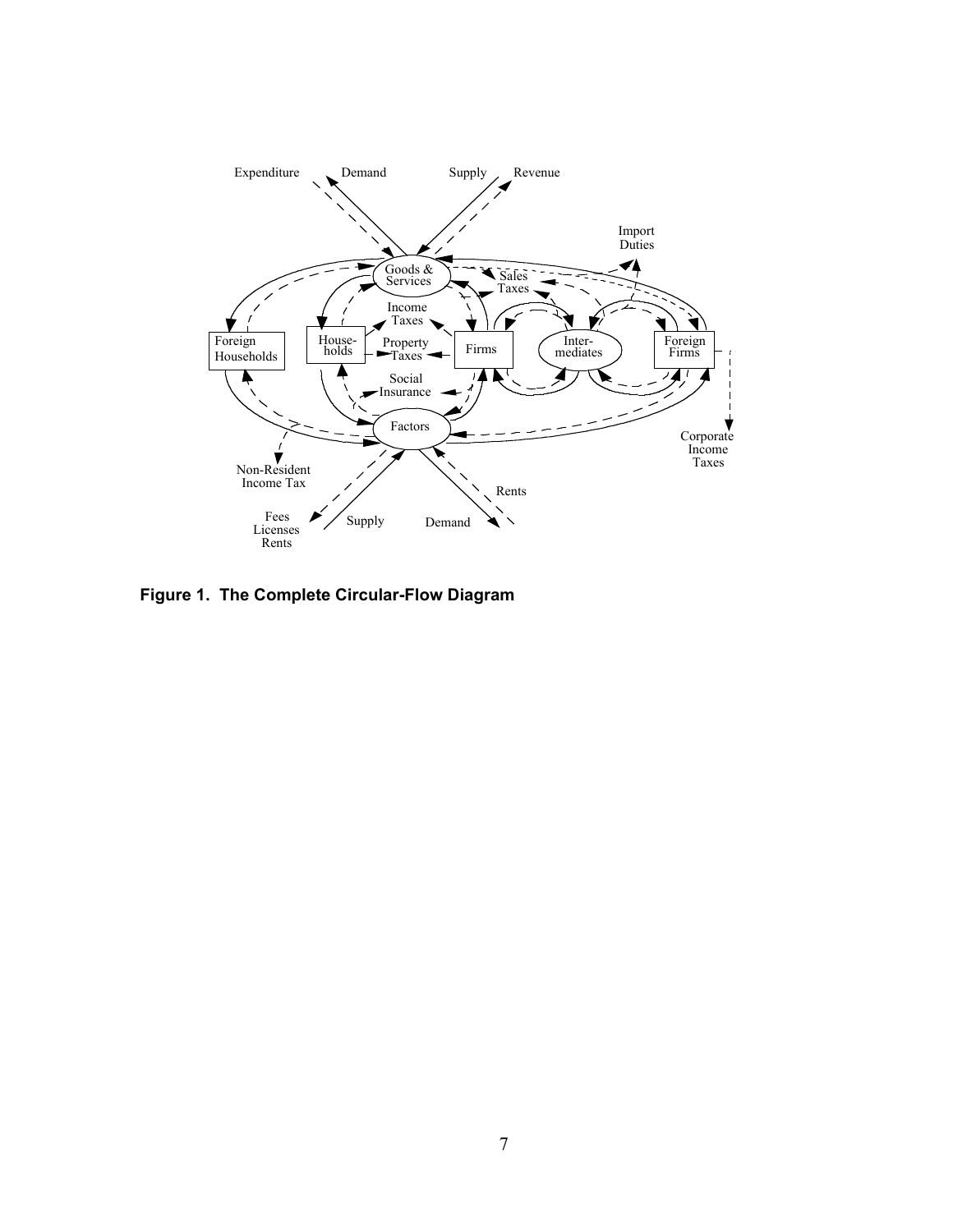

**Figure 1. The Complete Circular-Flow Diagram**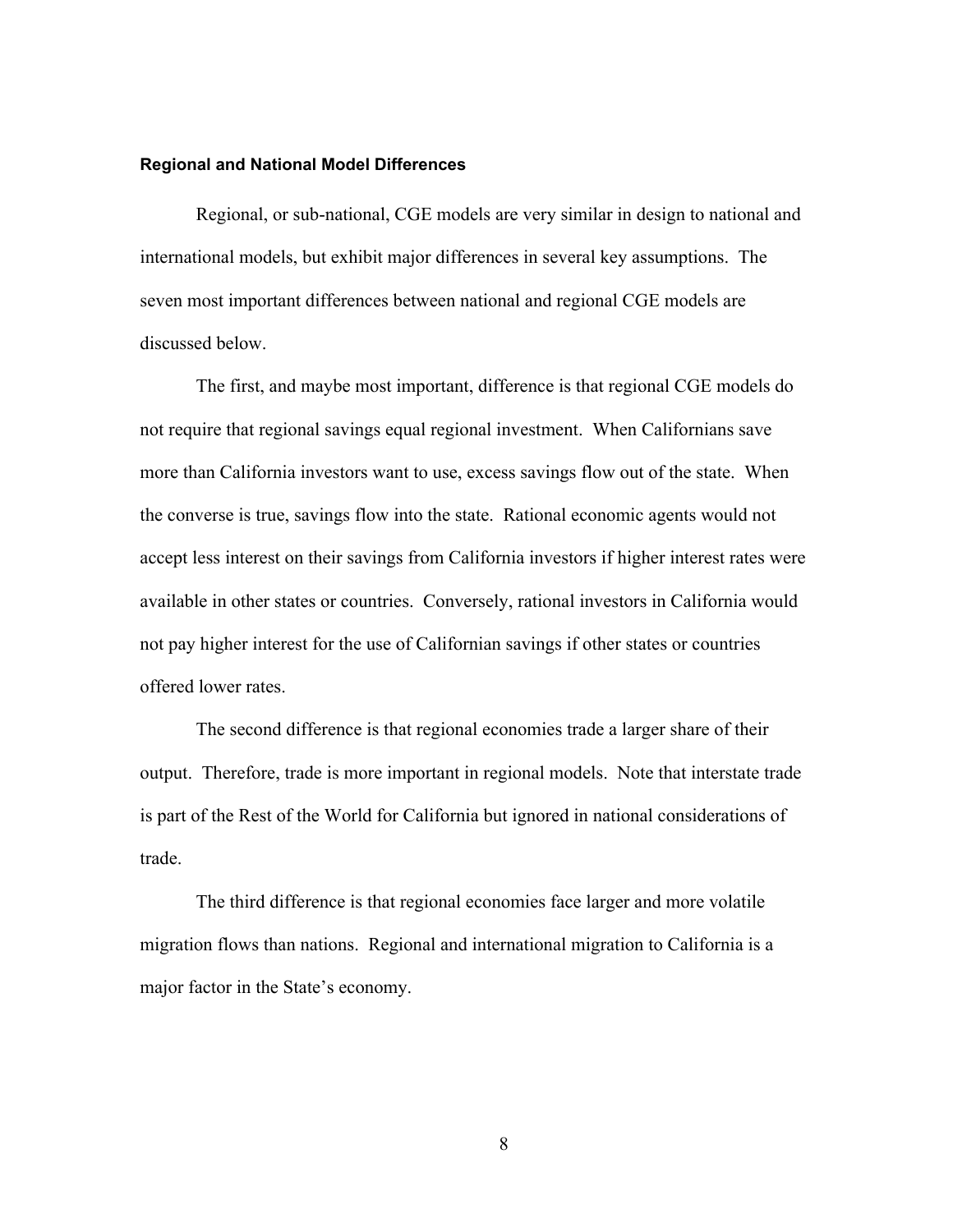#### **Regional and National Model Differences**

Regional, or sub-national, CGE models are very similar in design to national and international models, but exhibit major differences in several key assumptions. The seven most important differences between national and regional CGE models are discussed below.

The first, and maybe most important, difference is that regional CGE models do not require that regional savings equal regional investment. When Californians save more than California investors want to use, excess savings flow out of the state. When the converse is true, savings flow into the state. Rational economic agents would not accept less interest on their savings from California investors if higher interest rates were available in other states or countries. Conversely, rational investors in California would not pay higher interest for the use of Californian savings if other states or countries offered lower rates.

The second difference is that regional economies trade a larger share of their output. Therefore, trade is more important in regional models. Note that interstate trade is part of the Rest of the World for California but ignored in national considerations of trade.

The third difference is that regional economies face larger and more volatile migration flows than nations. Regional and international migration to California is a major factor in the State's economy.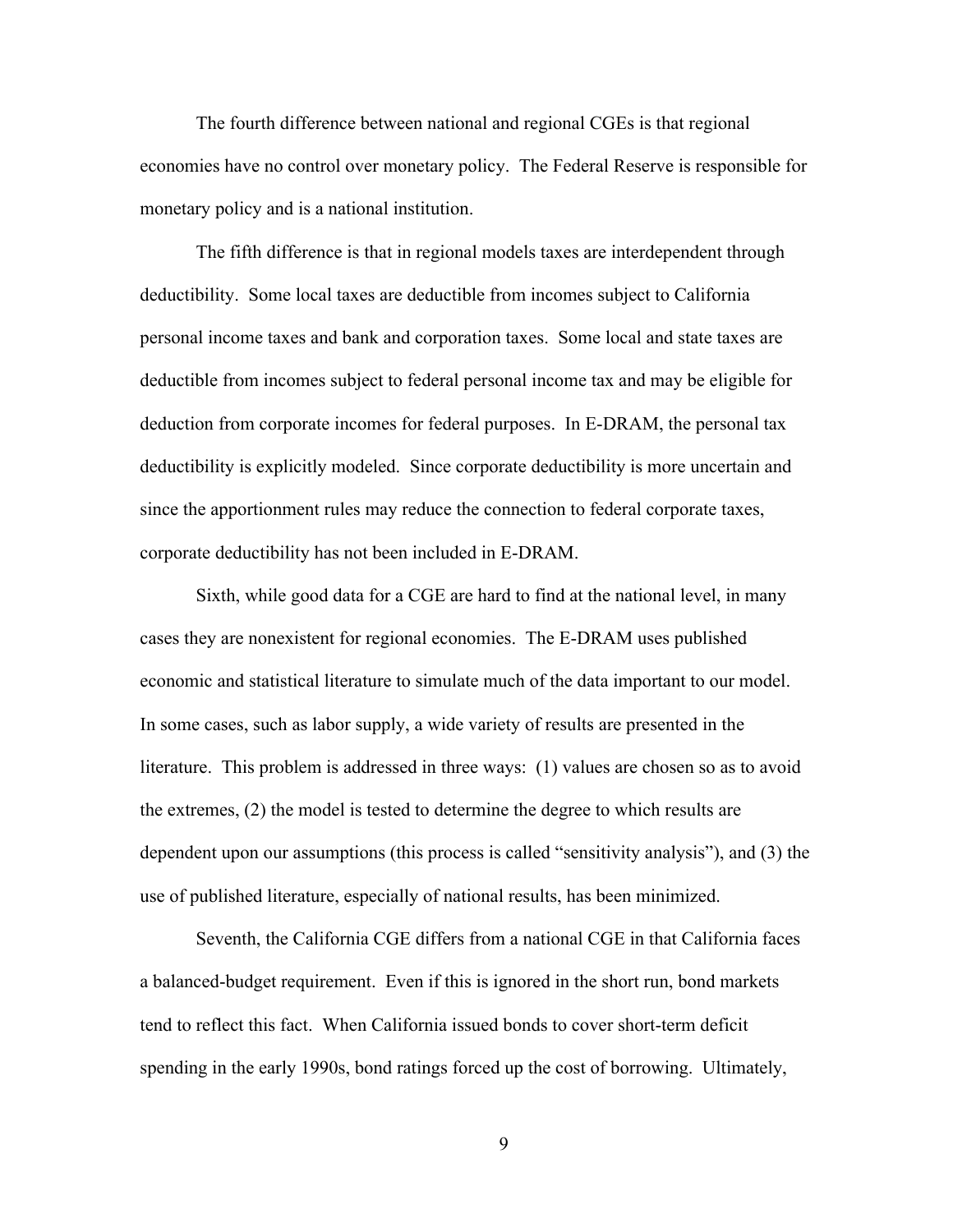The fourth difference between national and regional CGEs is that regional economies have no control over monetary policy. The Federal Reserve is responsible for monetary policy and is a national institution.

The fifth difference is that in regional models taxes are interdependent through deductibility. Some local taxes are deductible from incomes subject to California personal income taxes and bank and corporation taxes. Some local and state taxes are deductible from incomes subject to federal personal income tax and may be eligible for deduction from corporate incomes for federal purposes. In E-DRAM, the personal tax deductibility is explicitly modeled. Since corporate deductibility is more uncertain and since the apportionment rules may reduce the connection to federal corporate taxes, corporate deductibility has not been included in E-DRAM.

Sixth, while good data for a CGE are hard to find at the national level, in many cases they are nonexistent for regional economies. The E-DRAM uses published economic and statistical literature to simulate much of the data important to our model. In some cases, such as labor supply, a wide variety of results are presented in the literature. This problem is addressed in three ways: (1) values are chosen so as to avoid the extremes, (2) the model is tested to determine the degree to which results are dependent upon our assumptions (this process is called "sensitivity analysis"), and (3) the use of published literature, especially of national results, has been minimized.

Seventh, the California CGE differs from a national CGE in that California faces a balanced-budget requirement. Even if this is ignored in the short run, bond markets tend to reflect this fact. When California issued bonds to cover short-term deficit spending in the early 1990s, bond ratings forced up the cost of borrowing. Ultimately,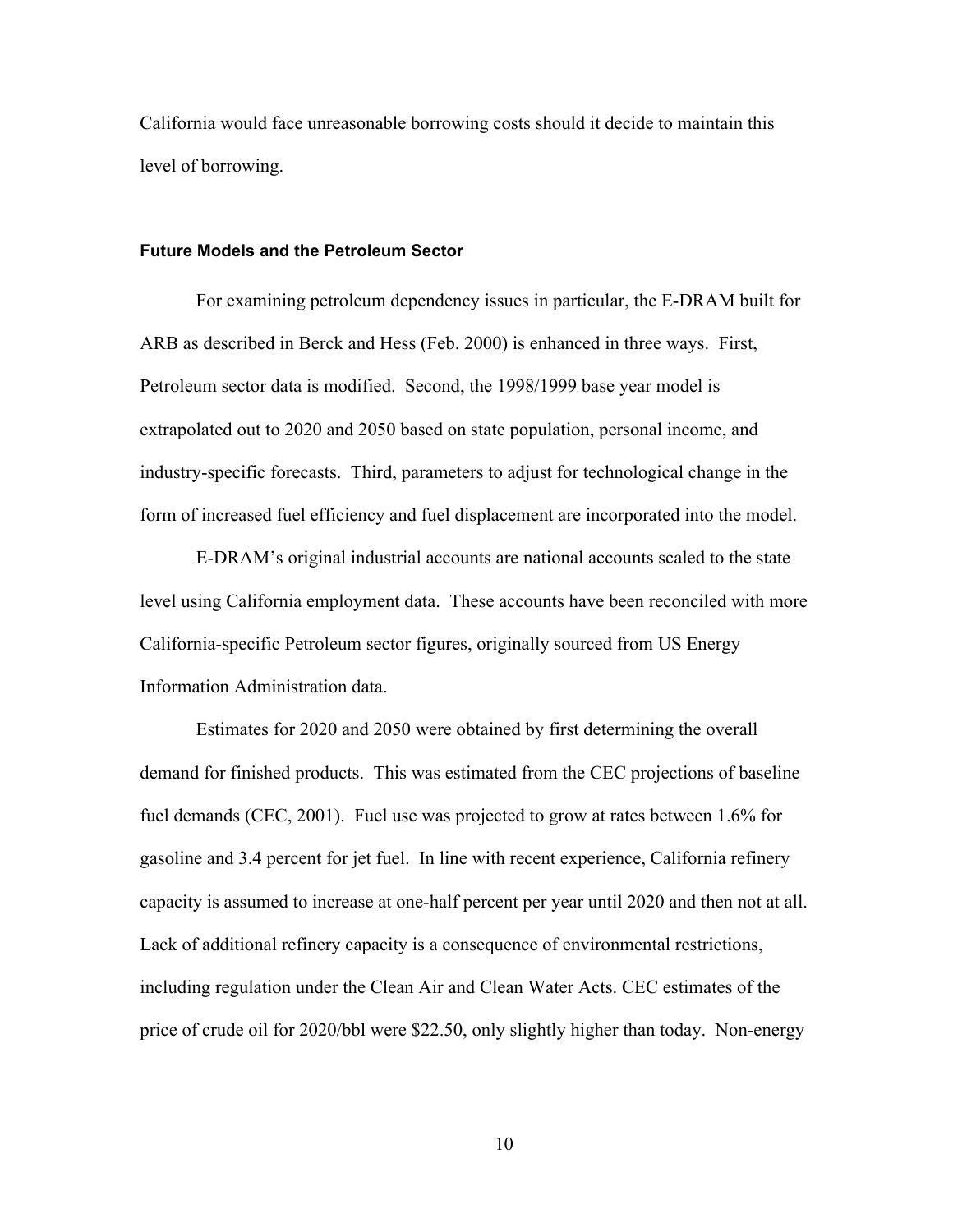California would face unreasonable borrowing costs should it decide to maintain this level of borrowing.

#### **Future Models and the Petroleum Sector**

For examining petroleum dependency issues in particular, the E-DRAM built for ARB as described in Berck and Hess (Feb. 2000) is enhanced in three ways. First, Petroleum sector data is modified. Second, the 1998/1999 base year model is extrapolated out to 2020 and 2050 based on state population, personal income, and industry-specific forecasts. Third, parameters to adjust for technological change in the form of increased fuel efficiency and fuel displacement are incorporated into the model.

E-DRAM's original industrial accounts are national accounts scaled to the state level using California employment data. These accounts have been reconciled with more California-specific Petroleum sector figures, originally sourced from US Energy Information Administration data.

Estimates for 2020 and 2050 were obtained by first determining the overall demand for finished products. This was estimated from the CEC projections of baseline fuel demands (CEC, 2001). Fuel use was projected to grow at rates between 1.6% for gasoline and 3.4 percent for jet fuel. In line with recent experience, California refinery capacity is assumed to increase at one-half percent per year until 2020 and then not at all. Lack of additional refinery capacity is a consequence of environmental restrictions, including regulation under the Clean Air and Clean Water Acts. CEC estimates of the price of crude oil for 2020/bbl were \$22.50, only slightly higher than today. Non-energy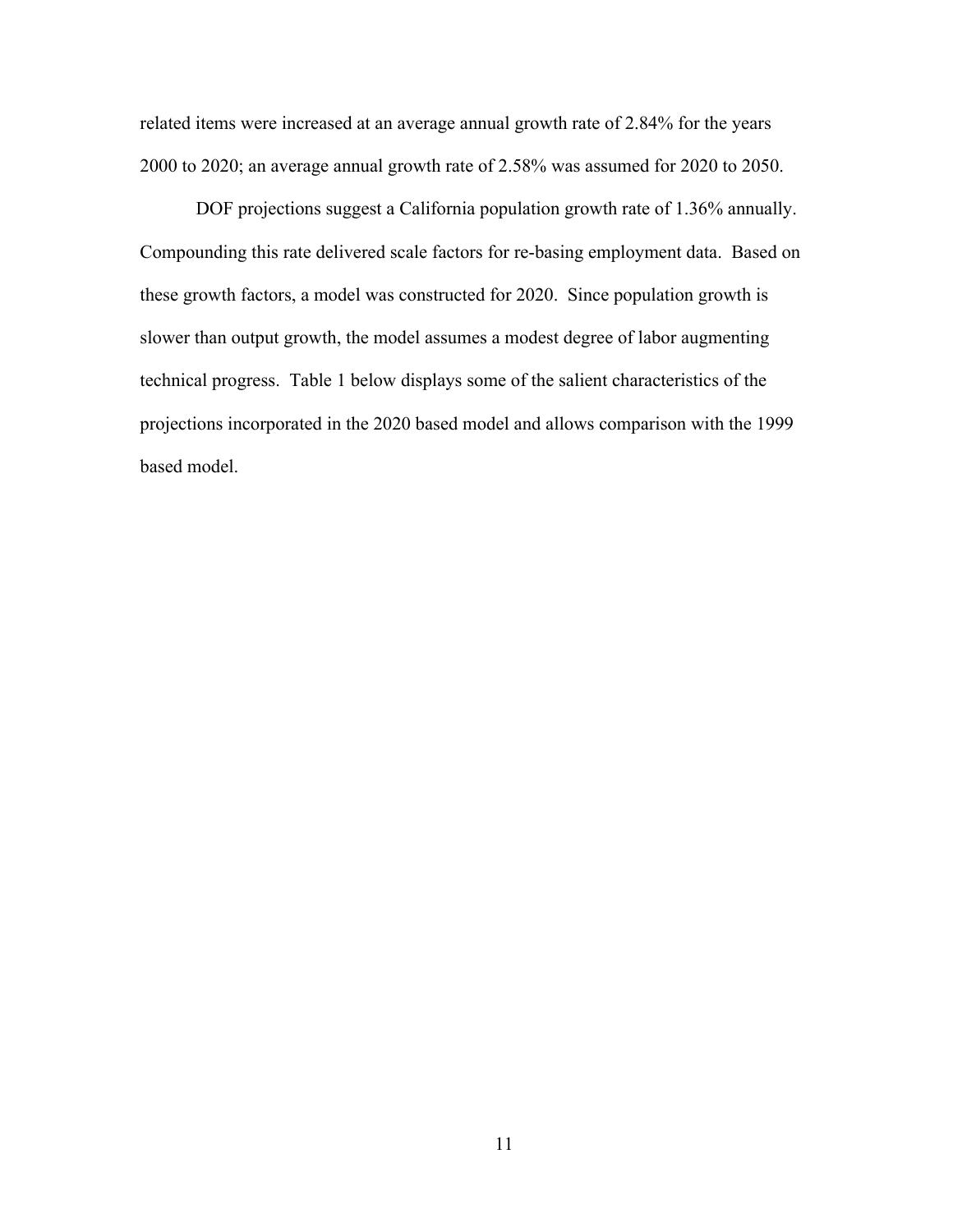related items were increased at an average annual growth rate of 2.84% for the years 2000 to 2020; an average annual growth rate of 2.58% was assumed for 2020 to 2050.

DOF projections suggest a California population growth rate of 1.36% annually. Compounding this rate delivered scale factors for re-basing employment data. Based on these growth factors, a model was constructed for 2020. Since population growth is slower than output growth, the model assumes a modest degree of labor augmenting technical progress. Table 1 below displays some of the salient characteristics of the projections incorporated in the 2020 based model and allows comparison with the 1999 based model.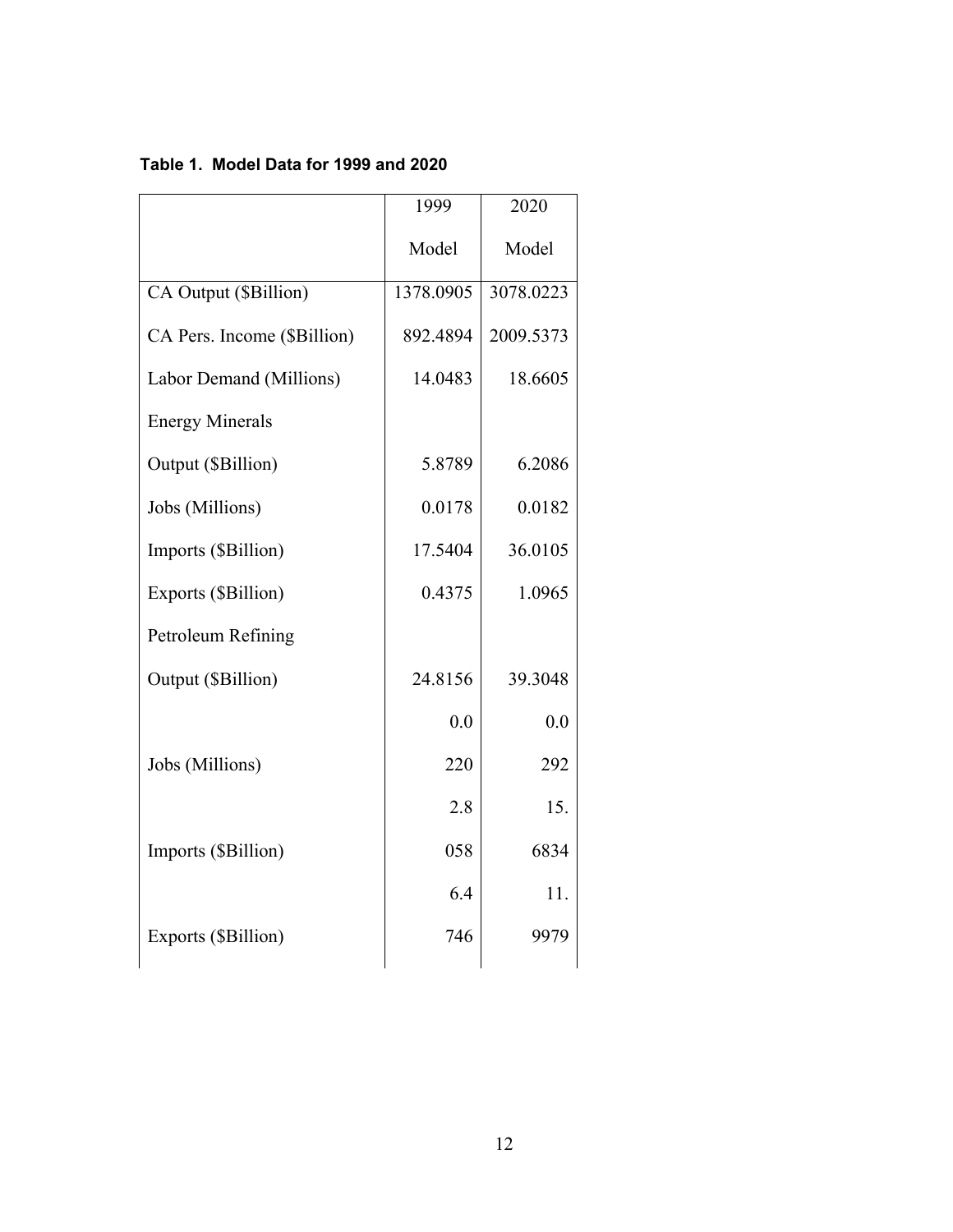|                             | 1999      | 2020      |
|-----------------------------|-----------|-----------|
|                             | Model     | Model     |
| CA Output (\$Billion)       | 1378.0905 | 3078.0223 |
| CA Pers. Income (\$Billion) | 892.4894  | 2009.5373 |
| Labor Demand (Millions)     | 14.0483   | 18.6605   |
| <b>Energy Minerals</b>      |           |           |
| Output (\$Billion)          | 5.8789    | 6.2086    |
| Jobs (Millions)             | 0.0178    | 0.0182    |
| Imports (\$Billion)         | 17.5404   | 36.0105   |
| Exports (\$Billion)         | 0.4375    | 1.0965    |
| Petroleum Refining          |           |           |
| Output (\$Billion)          | 24.8156   | 39.3048   |
|                             | 0.0       | 0.0       |
| Jobs (Millions)             | 220       | 292       |
|                             | 2.8       | 15.       |
| Imports (\$Billion)         | 058       | 6834      |
|                             | 6.4       | 11.       |
| Exports (\$Billion)         | 746       | 9979      |

# **Table 1. Model Data for 1999 and 2020**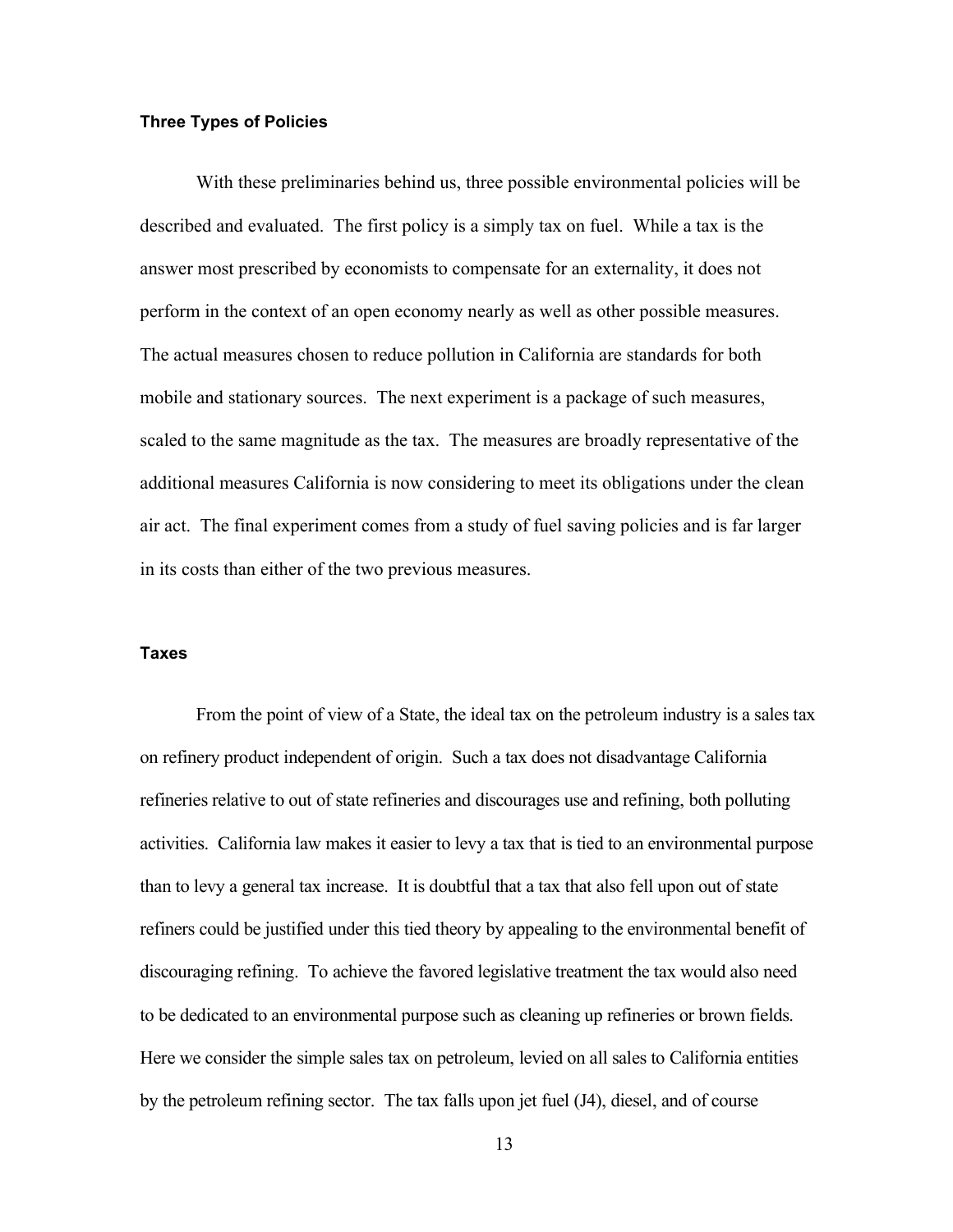#### **Three Types of Policies**

With these preliminaries behind us, three possible environmental policies will be described and evaluated. The first policy is a simply tax on fuel. While a tax is the answer most prescribed by economists to compensate for an externality, it does not perform in the context of an open economy nearly as well as other possible measures. The actual measures chosen to reduce pollution in California are standards for both mobile and stationary sources. The next experiment is a package of such measures, scaled to the same magnitude as the tax. The measures are broadly representative of the additional measures California is now considering to meet its obligations under the clean air act. The final experiment comes from a study of fuel saving policies and is far larger in its costs than either of the two previous measures.

#### **Taxes**

From the point of view of a State, the ideal tax on the petroleum industry is a sales tax on refinery product independent of origin. Such a tax does not disadvantage California refineries relative to out of state refineries and discourages use and refining, both polluting activities. California law makes it easier to levy a tax that is tied to an environmental purpose than to levy a general tax increase. It is doubtful that a tax that also fell upon out of state refiners could be justified under this tied theory by appealing to the environmental benefit of discouraging refining. To achieve the favored legislative treatment the tax would also need to be dedicated to an environmental purpose such as cleaning up refineries or brown fields. Here we consider the simple sales tax on petroleum, levied on all sales to California entities by the petroleum refining sector. The tax falls upon jet fuel (J4), diesel, and of course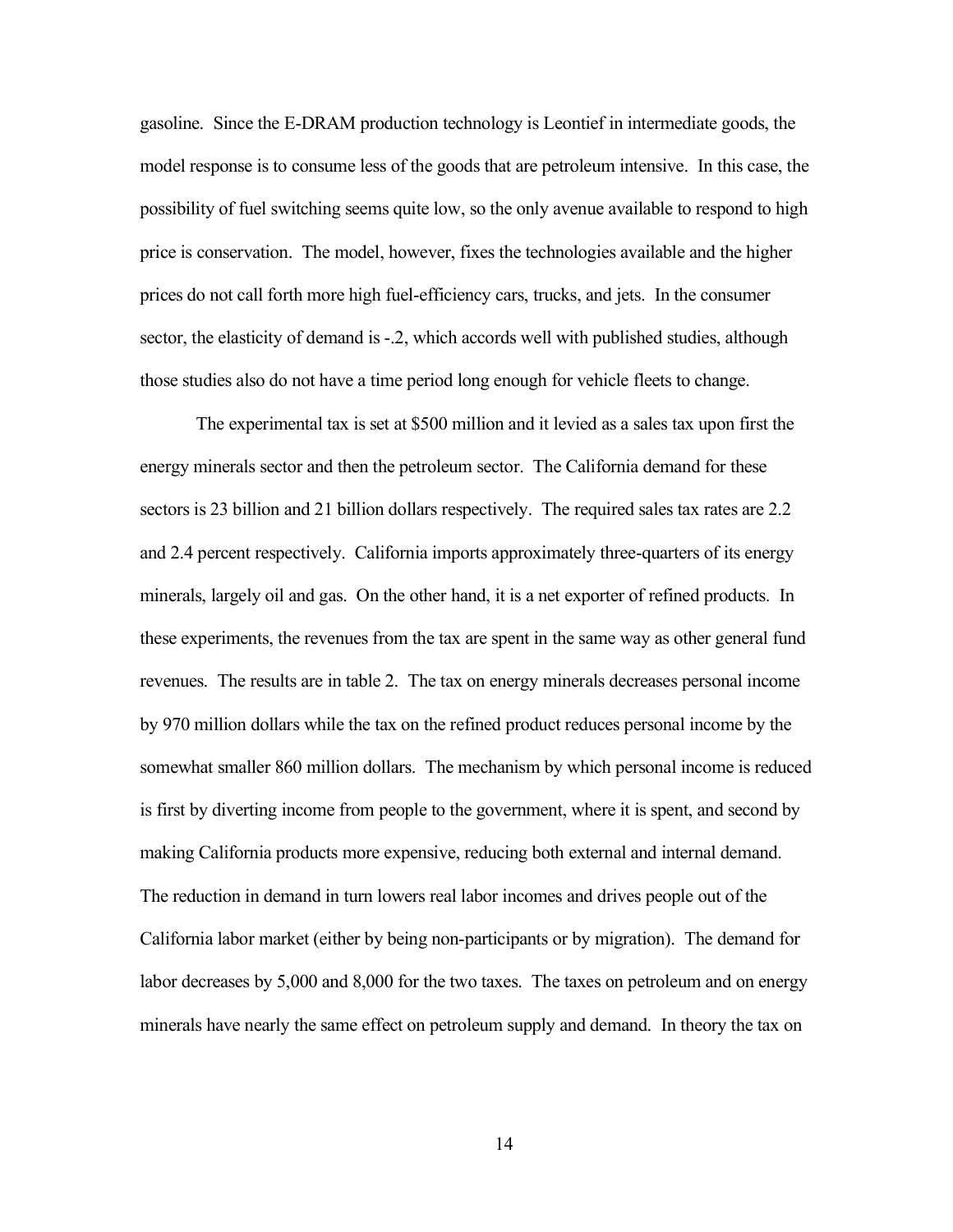gasoline. Since the E-DRAM production technology is Leontief in intermediate goods, the model response is to consume less of the goods that are petroleum intensive. In this case, the possibility of fuel switching seems quite low, so the only avenue available to respond to high price is conservation. The model, however, fixes the technologies available and the higher prices do not call forth more high fuel-efficiency cars, trucks, and jets. In the consumer sector, the elasticity of demand is -.2, which accords well with published studies, although those studies also do not have a time period long enough for vehicle fleets to change.

The experimental tax is set at \$500 million and it levied as a sales tax upon first the energy minerals sector and then the petroleum sector. The California demand for these sectors is 23 billion and 21 billion dollars respectively. The required sales tax rates are 2.2 and 2.4 percent respectively. California imports approximately three-quarters of its energy minerals, largely oil and gas. On the other hand, it is a net exporter of refined products. In these experiments, the revenues from the tax are spent in the same way as other general fund revenues. The results are in table 2. The tax on energy minerals decreases personal income by 970 million dollars while the tax on the refined product reduces personal income by the somewhat smaller 860 million dollars. The mechanism by which personal income is reduced is first by diverting income from people to the government, where it is spent, and second by making California products more expensive, reducing both external and internal demand. The reduction in demand in turn lowers real labor incomes and drives people out of the California labor market (either by being non-participants or by migration). The demand for labor decreases by 5,000 and 8,000 for the two taxes. The taxes on petroleum and on energy minerals have nearly the same effect on petroleum supply and demand. In theory the tax on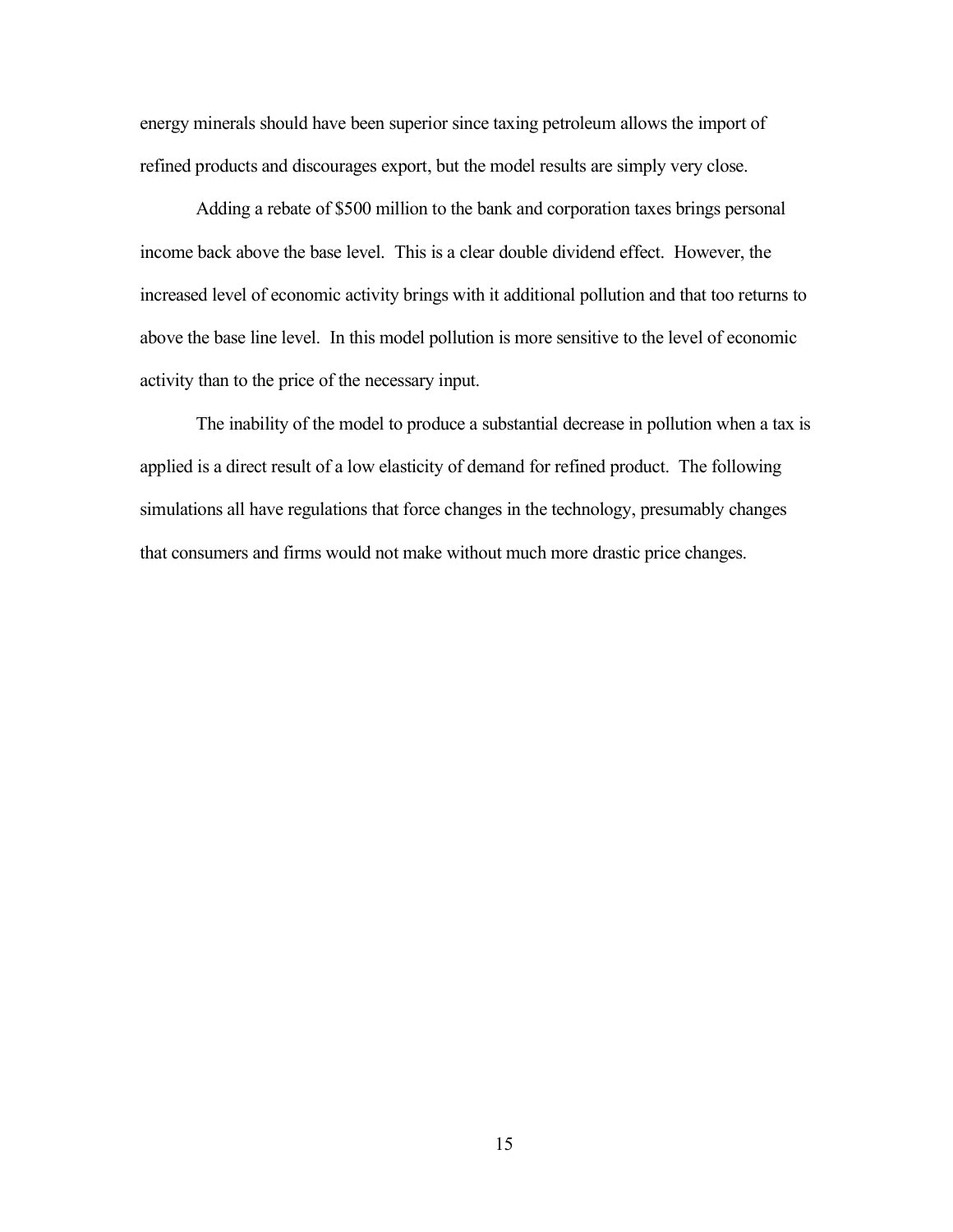energy minerals should have been superior since taxing petroleum allows the import of refined products and discourages export, but the model results are simply very close.

Adding a rebate of \$500 million to the bank and corporation taxes brings personal income back above the base level. This is a clear double dividend effect. However, the increased level of economic activity brings with it additional pollution and that too returns to above the base line level. In this model pollution is more sensitive to the level of economic activity than to the price of the necessary input.

The inability of the model to produce a substantial decrease in pollution when a tax is applied is a direct result of a low elasticity of demand for refined product. The following simulations all have regulations that force changes in the technology, presumably changes that consumers and firms would not make without much more drastic price changes.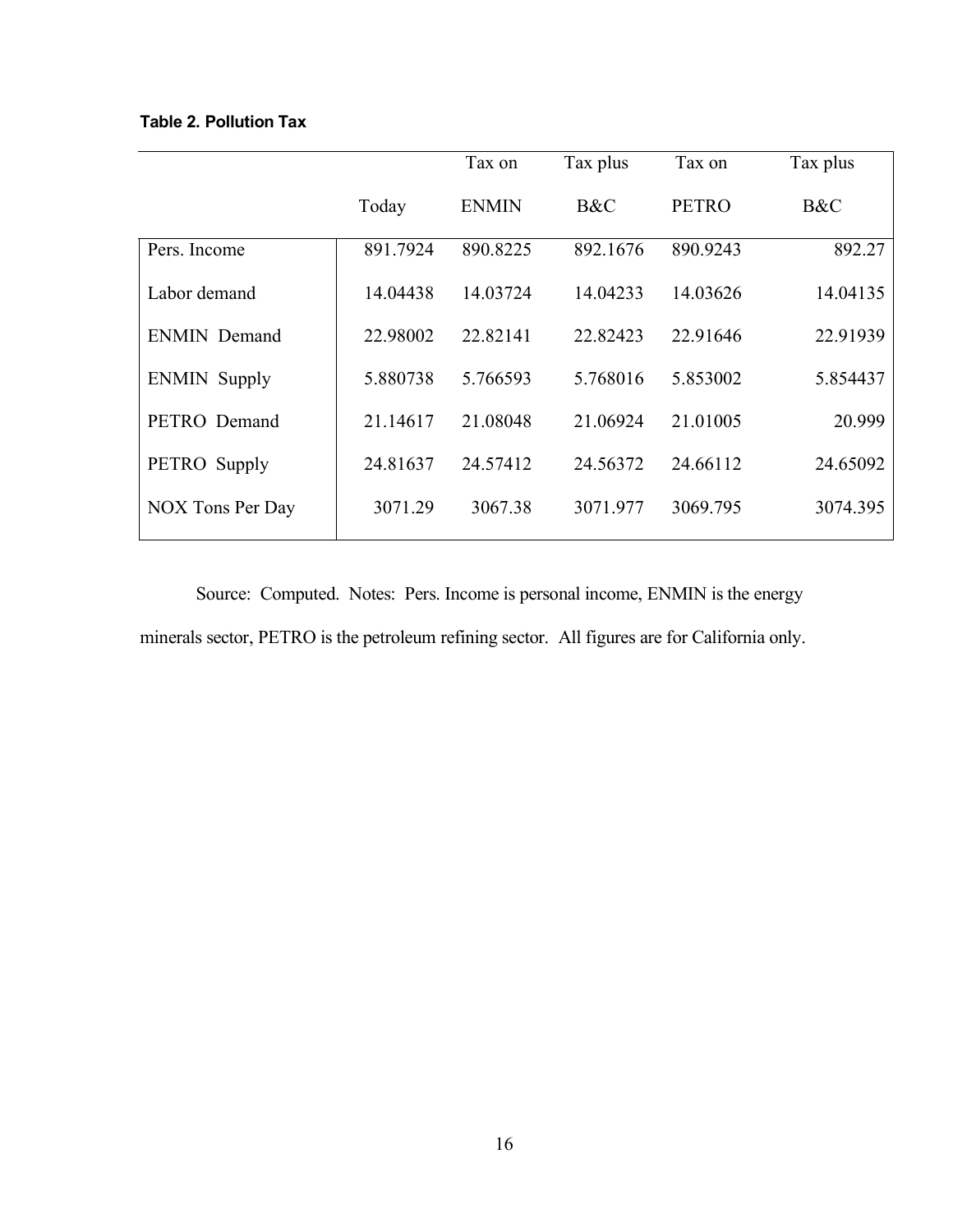# **Table 2. Pollution Tax**

|                     |          | Tax on       | Tax plus | Tax on       | Tax plus |
|---------------------|----------|--------------|----------|--------------|----------|
|                     | Today    | <b>ENMIN</b> | B&C      | <b>PETRO</b> | B&C      |
| Pers. Income        | 891.7924 | 890.8225     | 892.1676 | 890.9243     | 892.27   |
| Labor demand        | 14.04438 | 14.03724     | 14.04233 | 14.03626     | 14.04135 |
| <b>ENMIN Demand</b> | 22.98002 | 22.82141     | 22.82423 | 22.91646     | 22.91939 |
| <b>ENMIN</b> Supply | 5.880738 | 5.766593     | 5.768016 | 5.853002     | 5.854437 |
| PETRO Demand        | 21.14617 | 21.08048     | 21.06924 | 21.01005     | 20.999   |
| PETRO Supply        | 24.81637 | 24.57412     | 24.56372 | 24.66112     | 24.65092 |
| NOX Tons Per Day    | 3071.29  | 3067.38      | 3071.977 | 3069.795     | 3074.395 |
|                     |          |              |          |              |          |

Source: Computed. Notes: Pers. Income is personal income, ENMIN is the energy minerals sector, PETRO is the petroleum refining sector. All figures are for California only.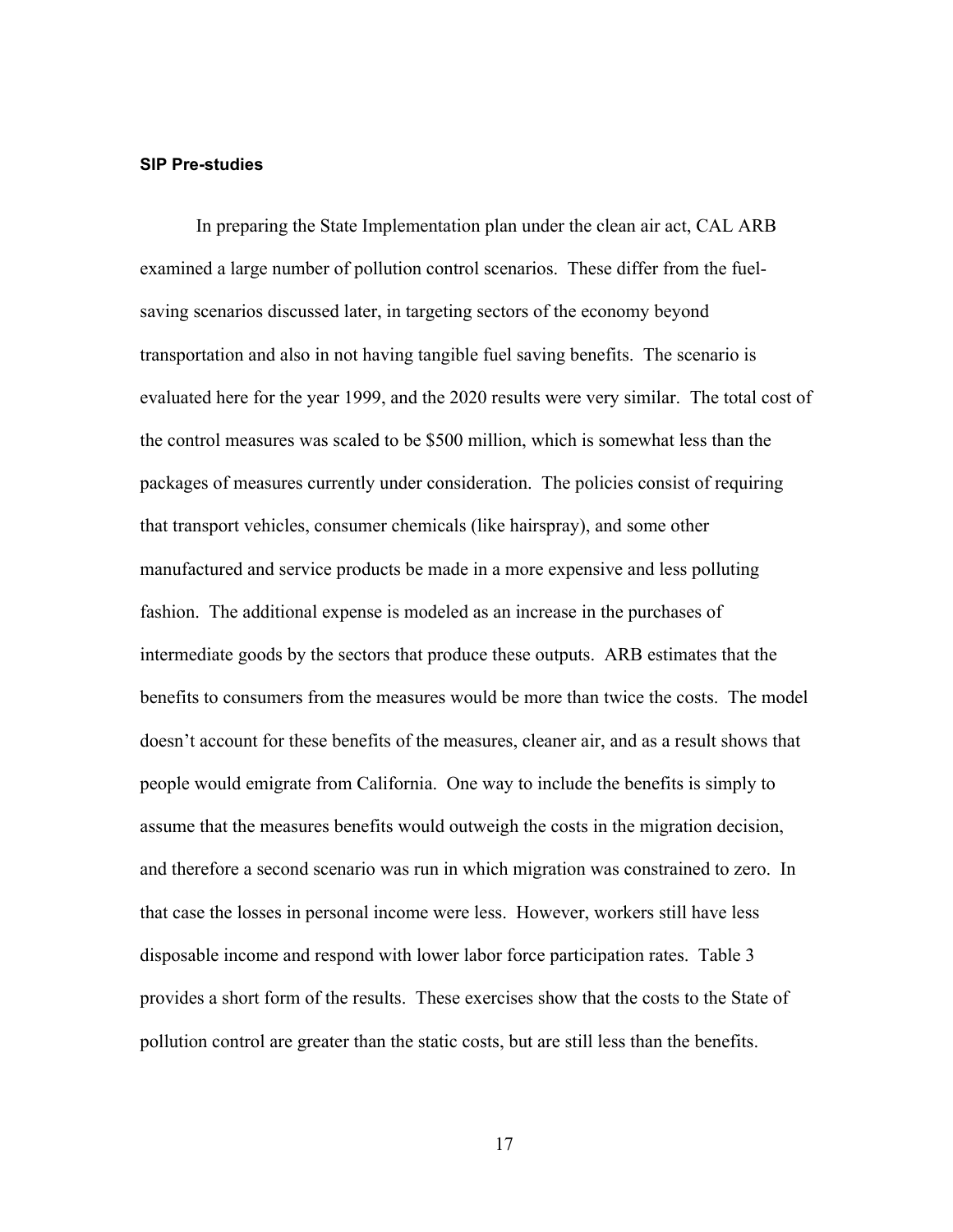#### **SIP Pre-studies**

In preparing the State Implementation plan under the clean air act, CAL ARB examined a large number of pollution control scenarios. These differ from the fuelsaving scenarios discussed later, in targeting sectors of the economy beyond transportation and also in not having tangible fuel saving benefits. The scenario is evaluated here for the year 1999, and the 2020 results were very similar. The total cost of the control measures was scaled to be \$500 million, which is somewhat less than the packages of measures currently under consideration. The policies consist of requiring that transport vehicles, consumer chemicals (like hairspray), and some other manufactured and service products be made in a more expensive and less polluting fashion. The additional expense is modeled as an increase in the purchases of intermediate goods by the sectors that produce these outputs. ARB estimates that the benefits to consumers from the measures would be more than twice the costs. The model doesn't account for these benefits of the measures, cleaner air, and as a result shows that people would emigrate from California. One way to include the benefits is simply to assume that the measures benefits would outweigh the costs in the migration decision, and therefore a second scenario was run in which migration was constrained to zero. In that case the losses in personal income were less. However, workers still have less disposable income and respond with lower labor force participation rates. Table 3 provides a short form of the results. These exercises show that the costs to the State of pollution control are greater than the static costs, but are still less than the benefits.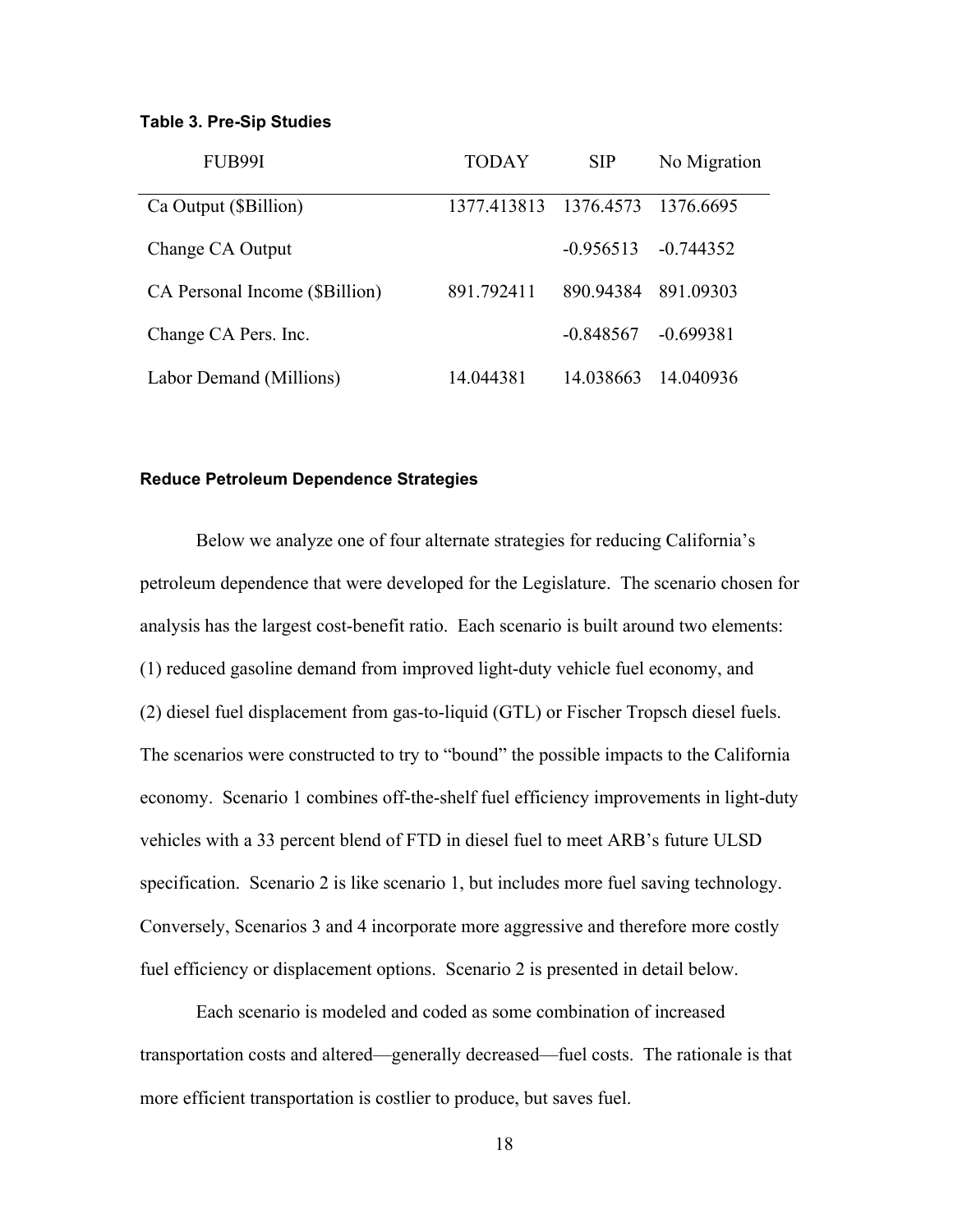#### **Table 3. Pre-Sip Studies**

| FUB99I                         | TODAY                           | <b>SIP</b>  | No Migration |
|--------------------------------|---------------------------------|-------------|--------------|
| Ca Output (\$Billion)          | 1377.413813 1376.4573 1376.6695 |             |              |
| Change CA Output               |                                 | $-0.956513$ | -0 744352    |
| CA Personal Income (\$Billion) | 891.792411                      | 890.94384   | 891.09303    |
| Change CA Pers. Inc.           |                                 | $-0.848567$ | $-0.699381$  |
| Labor Demand (Millions)        | 14.044381                       | 14.038663   | 14 040936    |

#### **Reduce Petroleum Dependence Strategies**

Below we analyze one of four alternate strategies for reducing California's petroleum dependence that were developed for the Legislature. The scenario chosen for analysis has the largest cost-benefit ratio. Each scenario is built around two elements: (1) reduced gasoline demand from improved light-duty vehicle fuel economy, and (2) diesel fuel displacement from gas-to-liquid (GTL) or Fischer Tropsch diesel fuels. The scenarios were constructed to try to "bound" the possible impacts to the California economy. Scenario 1 combines off-the-shelf fuel efficiency improvements in light-duty vehicles with a 33 percent blend of FTD in diesel fuel to meet ARB's future ULSD specification. Scenario 2 is like scenario 1, but includes more fuel saving technology. Conversely, Scenarios 3 and 4 incorporate more aggressive and therefore more costly fuel efficiency or displacement options. Scenario 2 is presented in detail below.

Each scenario is modeled and coded as some combination of increased transportation costs and altered—generally decreased—fuel costs. The rationale is that more efficient transportation is costlier to produce, but saves fuel.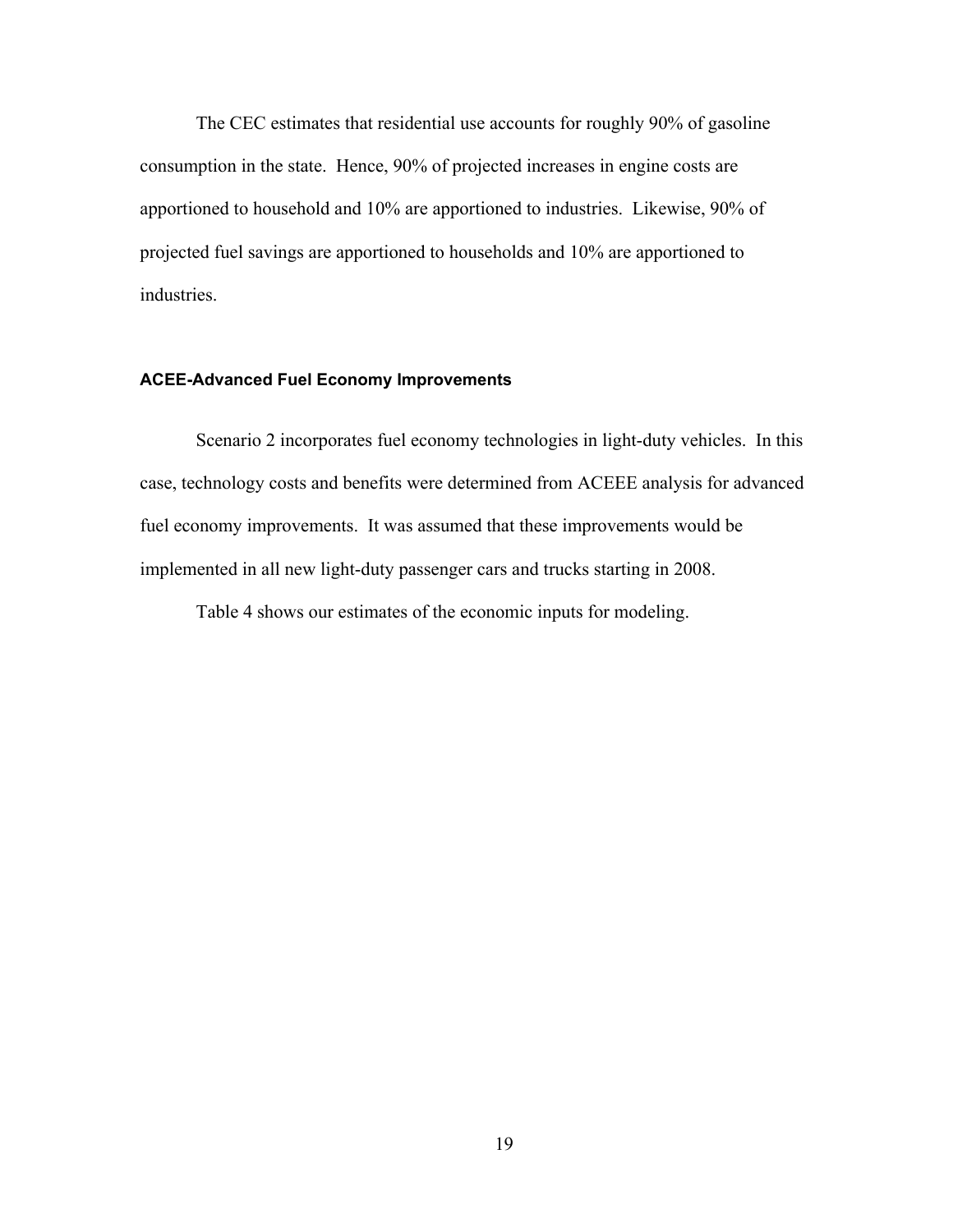The CEC estimates that residential use accounts for roughly 90% of gasoline consumption in the state. Hence, 90% of projected increases in engine costs are apportioned to household and 10% are apportioned to industries. Likewise, 90% of projected fuel savings are apportioned to households and 10% are apportioned to industries.

#### **ACEE-Advanced Fuel Economy Improvements**

Scenario 2 incorporates fuel economy technologies in light-duty vehicles. In this case, technology costs and benefits were determined from ACEEE analysis for advanced fuel economy improvements. It was assumed that these improvements would be implemented in all new light-duty passenger cars and trucks starting in 2008.

Table 4 shows our estimates of the economic inputs for modeling.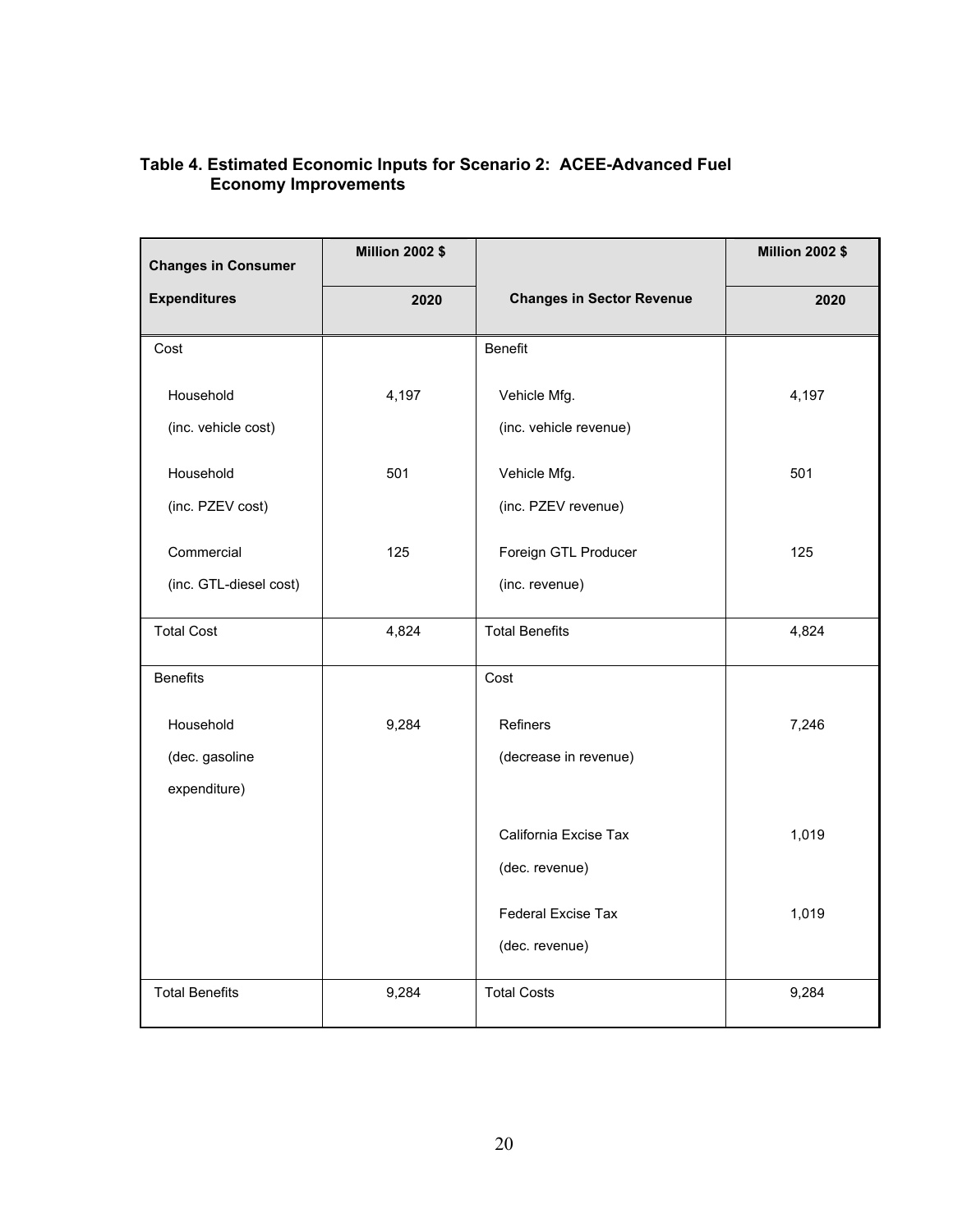## **Table 4. Estimated Economic Inputs for Scenario 2: ACEE-Advanced Fuel Economy Improvements**

| <b>Changes in Consumer</b> | <b>Million 2002 \$</b> |                                  | <b>Million 2002 \$</b> |
|----------------------------|------------------------|----------------------------------|------------------------|
| <b>Expenditures</b>        | 2020                   | <b>Changes in Sector Revenue</b> | 2020                   |
| Cost                       |                        | <b>Benefit</b>                   |                        |
| Household                  | 4,197                  | Vehicle Mfg.                     | 4,197                  |
| (inc. vehicle cost)        |                        | (inc. vehicle revenue)           |                        |
| Household                  | 501                    | Vehicle Mfg.                     | 501                    |
| (inc. PZEV cost)           |                        | (inc. PZEV revenue)              |                        |
| Commercial                 | 125                    | Foreign GTL Producer             | 125                    |
| (inc. GTL-diesel cost)     |                        | (inc. revenue)                   |                        |
| <b>Total Cost</b>          | 4,824                  | <b>Total Benefits</b>            | 4,824                  |
| <b>Benefits</b>            |                        | Cost                             |                        |
| Household                  | 9,284                  | Refiners                         | 7,246                  |
| (dec. gasoline             |                        | (decrease in revenue)            |                        |
| expenditure)               |                        |                                  |                        |
|                            |                        | California Excise Tax            | 1,019                  |
|                            |                        | (dec. revenue)                   |                        |
|                            |                        | Federal Excise Tax               | 1,019                  |
|                            |                        | (dec. revenue)                   |                        |
| <b>Total Benefits</b>      | 9,284                  | <b>Total Costs</b>               | 9,284                  |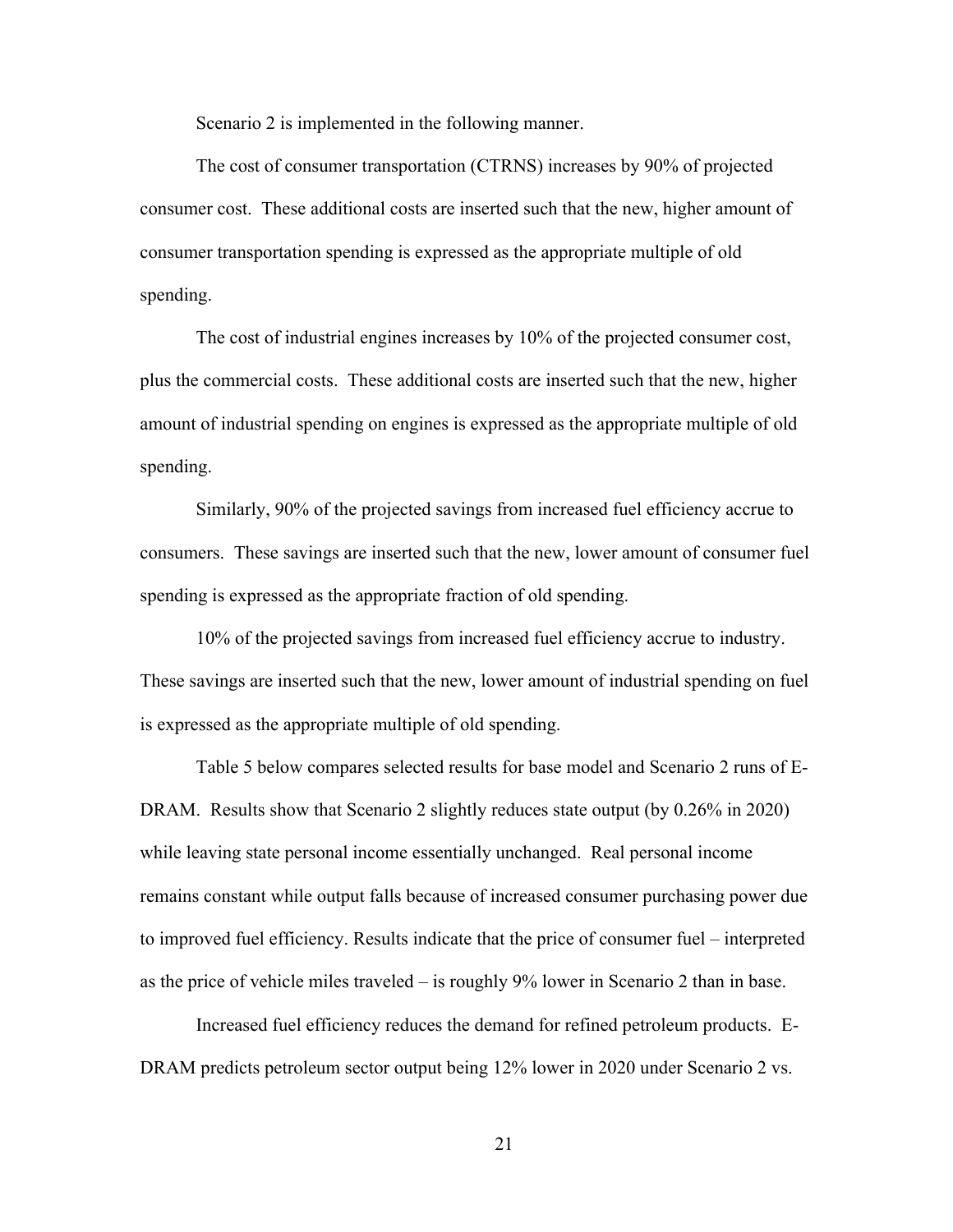Scenario 2 is implemented in the following manner.

The cost of consumer transportation (CTRNS) increases by 90% of projected consumer cost. These additional costs are inserted such that the new, higher amount of consumer transportation spending is expressed as the appropriate multiple of old spending.

The cost of industrial engines increases by 10% of the projected consumer cost, plus the commercial costs. These additional costs are inserted such that the new, higher amount of industrial spending on engines is expressed as the appropriate multiple of old spending.

Similarly, 90% of the projected savings from increased fuel efficiency accrue to consumers. These savings are inserted such that the new, lower amount of consumer fuel spending is expressed as the appropriate fraction of old spending.

10% of the projected savings from increased fuel efficiency accrue to industry. These savings are inserted such that the new, lower amount of industrial spending on fuel is expressed as the appropriate multiple of old spending.

Table 5 below compares selected results for base model and Scenario 2 runs of E-DRAM. Results show that Scenario 2 slightly reduces state output (by 0.26% in 2020) while leaving state personal income essentially unchanged. Real personal income remains constant while output falls because of increased consumer purchasing power due to improved fuel efficiency. Results indicate that the price of consumer fuel – interpreted as the price of vehicle miles traveled – is roughly 9% lower in Scenario 2 than in base.

Increased fuel efficiency reduces the demand for refined petroleum products. E-DRAM predicts petroleum sector output being 12% lower in 2020 under Scenario 2 vs.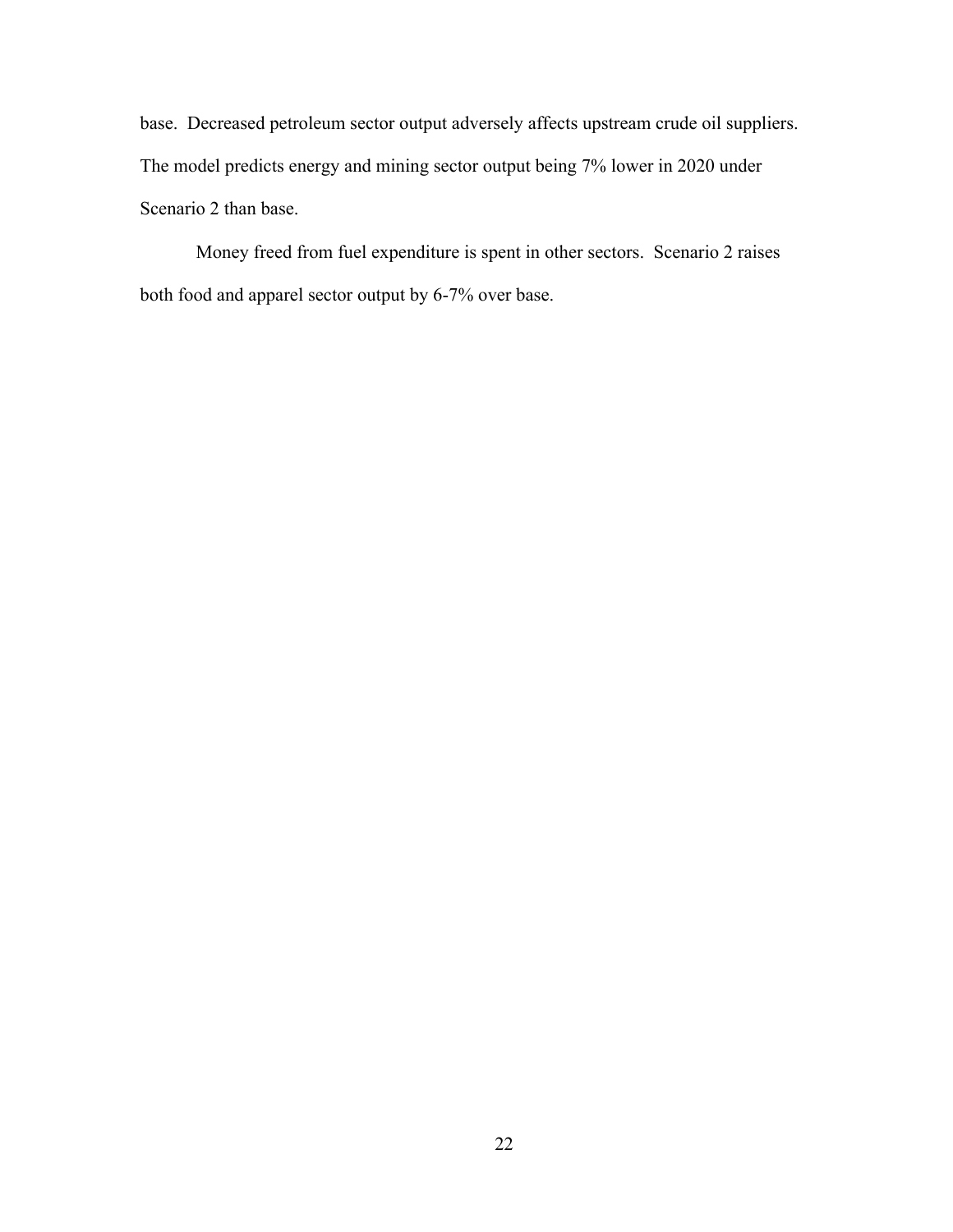base. Decreased petroleum sector output adversely affects upstream crude oil suppliers. The model predicts energy and mining sector output being 7% lower in 2020 under Scenario 2 than base.

Money freed from fuel expenditure is spent in other sectors. Scenario 2 raises both food and apparel sector output by 6-7% over base.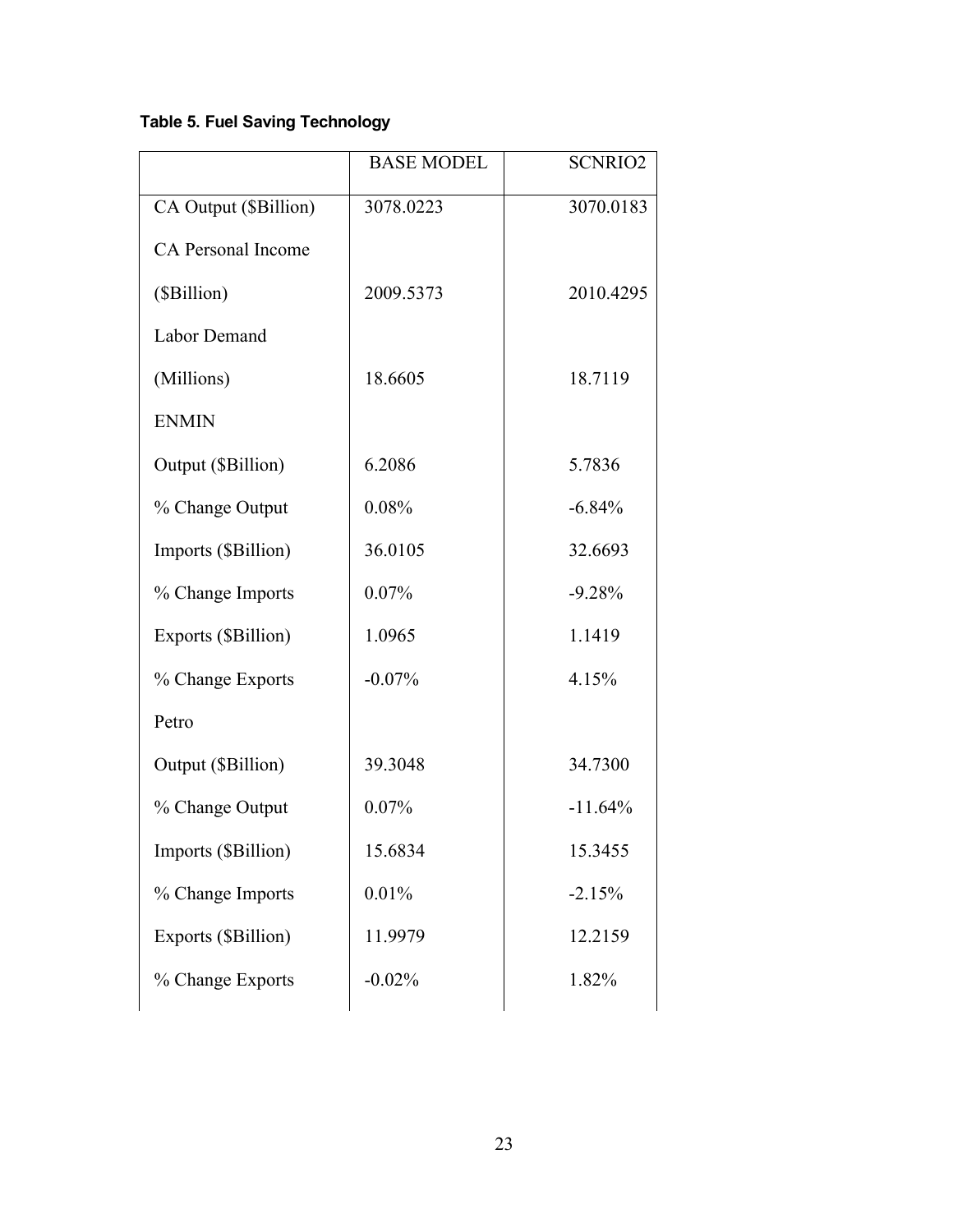# **Table 5. Fuel Saving Technology**

|                           | <b>BASE MODEL</b> | <b>SCNRIO2</b> |
|---------------------------|-------------------|----------------|
| CA Output (\$Billion)     | 3078.0223         | 3070.0183      |
| <b>CA Personal Income</b> |                   |                |
| (\$Billion)               | 2009.5373         | 2010.4295      |
| <b>Labor Demand</b>       |                   |                |
| (Millions)                | 18.6605           | 18.7119        |
| <b>ENMIN</b>              |                   |                |
| Output (\$Billion)        | 6.2086            | 5.7836         |
| % Change Output           | 0.08%             | $-6.84%$       |
| Imports (\$Billion)       | 36.0105           | 32.6693        |
| % Change Imports          | 0.07%             | $-9.28%$       |
| Exports (\$Billion)       | 1.0965            | 1.1419         |
| % Change Exports          | $-0.07%$          | 4.15%          |
| Petro                     |                   |                |
| Output (\$Billion)        | 39.3048           | 34.7300        |
| % Change Output           | 0.07%             | $-11.64%$      |
| Imports (\$Billion)       | 15.6834           | 15.3455        |
| % Change Imports          | 0.01%             | $-2.15%$       |
| Exports (\$Billion)       | 11.9979           | 12.2159        |
| % Change Exports          | $-0.02%$          | 1.82%          |
|                           |                   |                |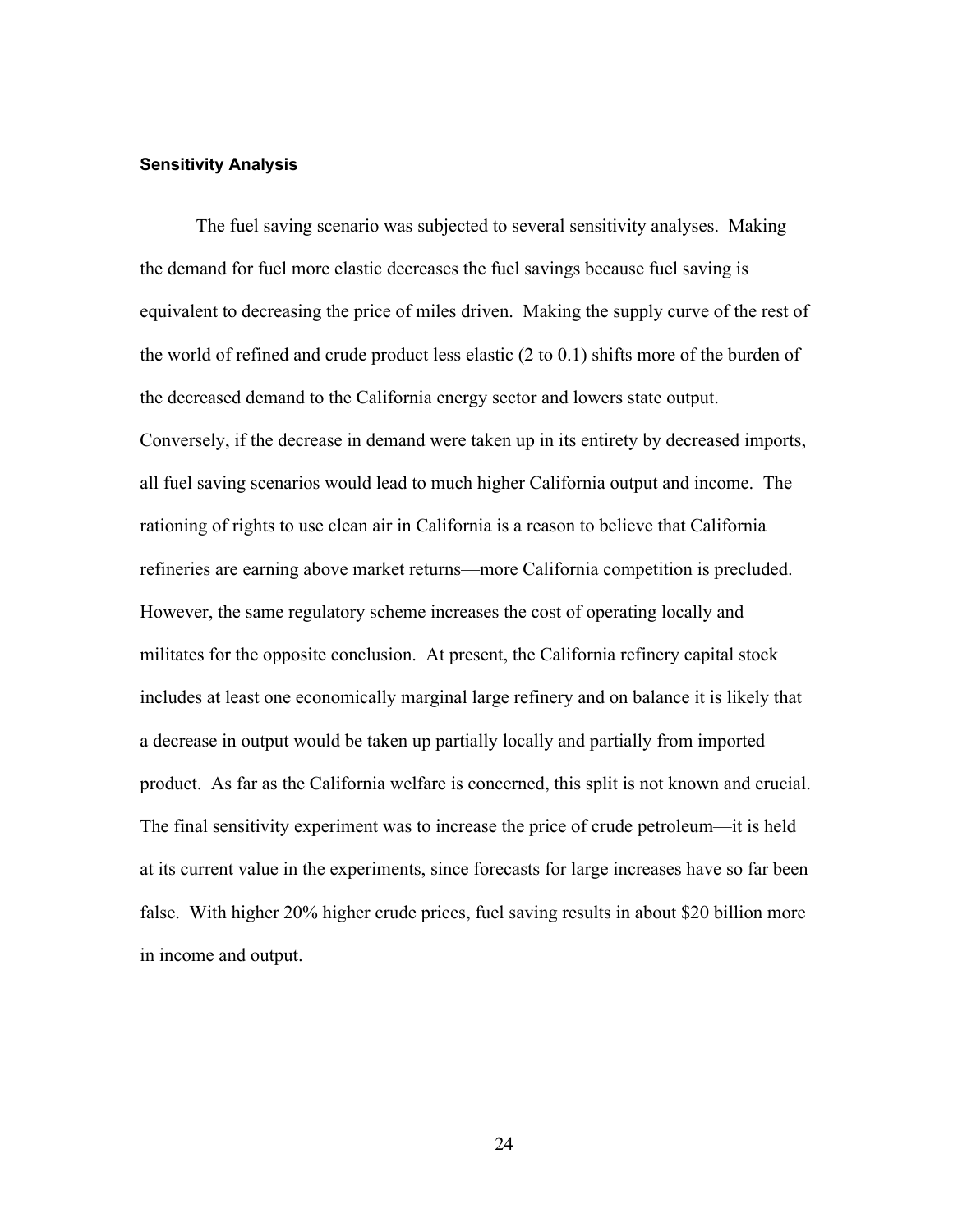#### **Sensitivity Analysis**

The fuel saving scenario was subjected to several sensitivity analyses. Making the demand for fuel more elastic decreases the fuel savings because fuel saving is equivalent to decreasing the price of miles driven. Making the supply curve of the rest of the world of refined and crude product less elastic (2 to 0.1) shifts more of the burden of the decreased demand to the California energy sector and lowers state output. Conversely, if the decrease in demand were taken up in its entirety by decreased imports, all fuel saving scenarios would lead to much higher California output and income. The rationing of rights to use clean air in California is a reason to believe that California refineries are earning above market returns—more California competition is precluded. However, the same regulatory scheme increases the cost of operating locally and militates for the opposite conclusion. At present, the California refinery capital stock includes at least one economically marginal large refinery and on balance it is likely that a decrease in output would be taken up partially locally and partially from imported product. As far as the California welfare is concerned, this split is not known and crucial. The final sensitivity experiment was to increase the price of crude petroleum—it is held at its current value in the experiments, since forecasts for large increases have so far been false. With higher 20% higher crude prices, fuel saving results in about \$20 billion more in income and output.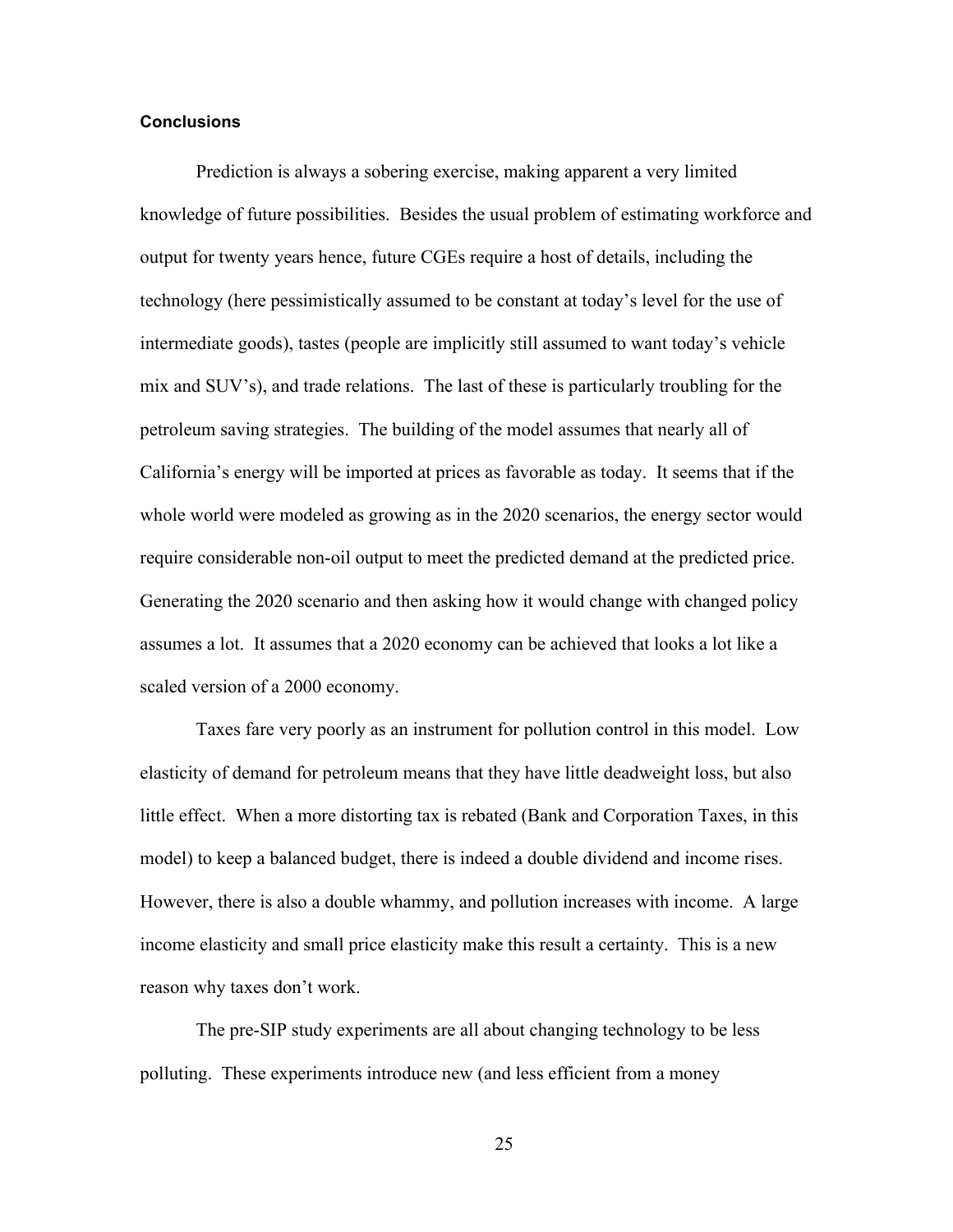#### **Conclusions**

Prediction is always a sobering exercise, making apparent a very limited knowledge of future possibilities. Besides the usual problem of estimating workforce and output for twenty years hence, future CGEs require a host of details, including the technology (here pessimistically assumed to be constant at today's level for the use of intermediate goods), tastes (people are implicitly still assumed to want today's vehicle mix and SUV's), and trade relations. The last of these is particularly troubling for the petroleum saving strategies. The building of the model assumes that nearly all of California's energy will be imported at prices as favorable as today. It seems that if the whole world were modeled as growing as in the 2020 scenarios, the energy sector would require considerable non-oil output to meet the predicted demand at the predicted price. Generating the 2020 scenario and then asking how it would change with changed policy assumes a lot. It assumes that a 2020 economy can be achieved that looks a lot like a scaled version of a 2000 economy.

Taxes fare very poorly as an instrument for pollution control in this model. Low elasticity of demand for petroleum means that they have little deadweight loss, but also little effect. When a more distorting tax is rebated (Bank and Corporation Taxes, in this model) to keep a balanced budget, there is indeed a double dividend and income rises. However, there is also a double whammy, and pollution increases with income. A large income elasticity and small price elasticity make this result a certainty. This is a new reason why taxes don't work.

The pre-SIP study experiments are all about changing technology to be less polluting. These experiments introduce new (and less efficient from a money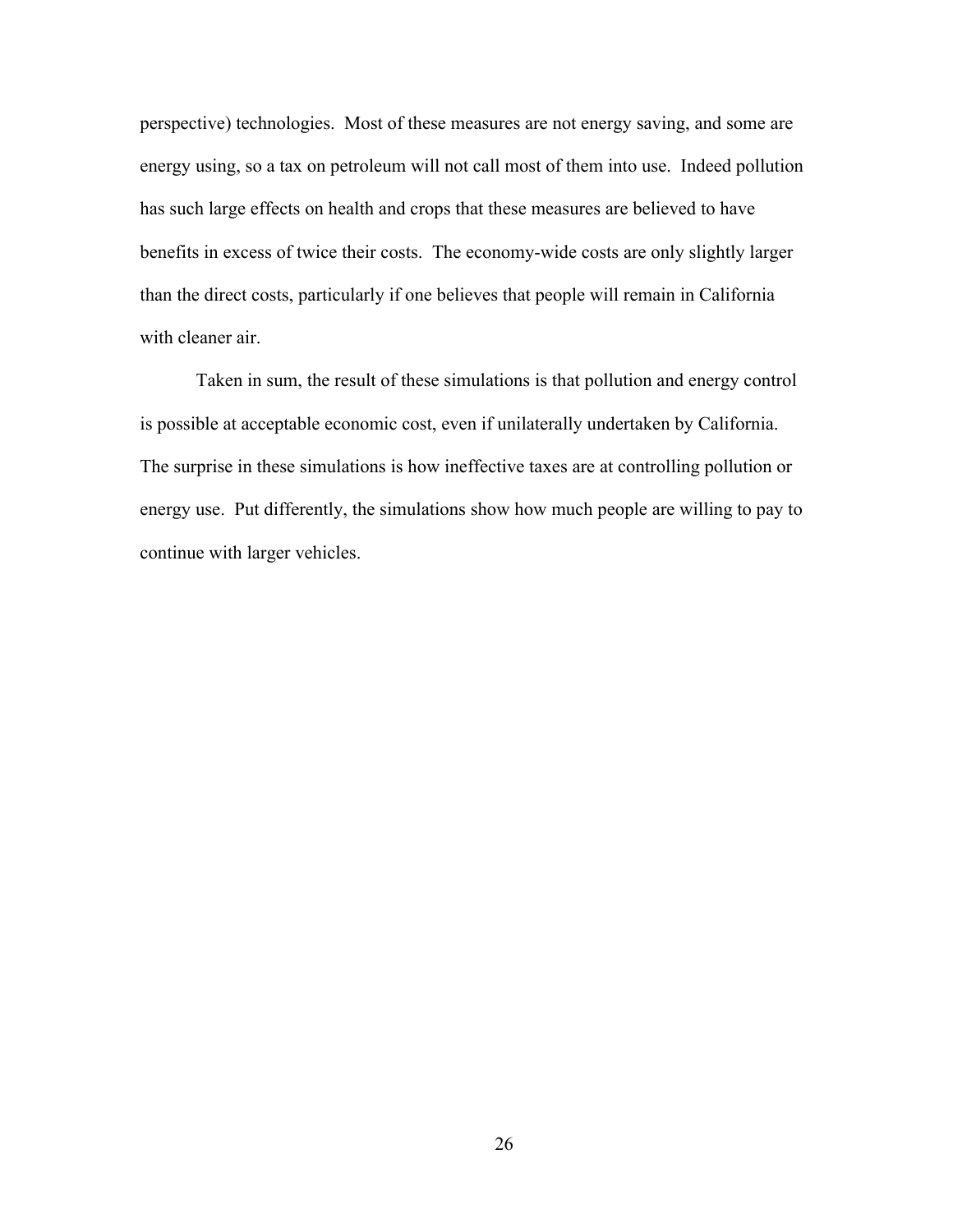perspective) technologies. Most of these measures are not energy saving, and some are energy using, so a tax on petroleum will not call most of them into use. Indeed pollution has such large effects on health and crops that these measures are believed to have benefits in excess of twice their costs. The economy-wide costs are only slightly larger than the direct costs, particularly if one believes that people will remain in California with cleaner air.

Taken in sum, the result of these simulations is that pollution and energy control is possible at acceptable economic cost, even if unilaterally undertaken by California. The surprise in these simulations is how ineffective taxes are at controlling pollution or energy use. Put differently, the simulations show how much people are willing to pay to continue with larger vehicles.